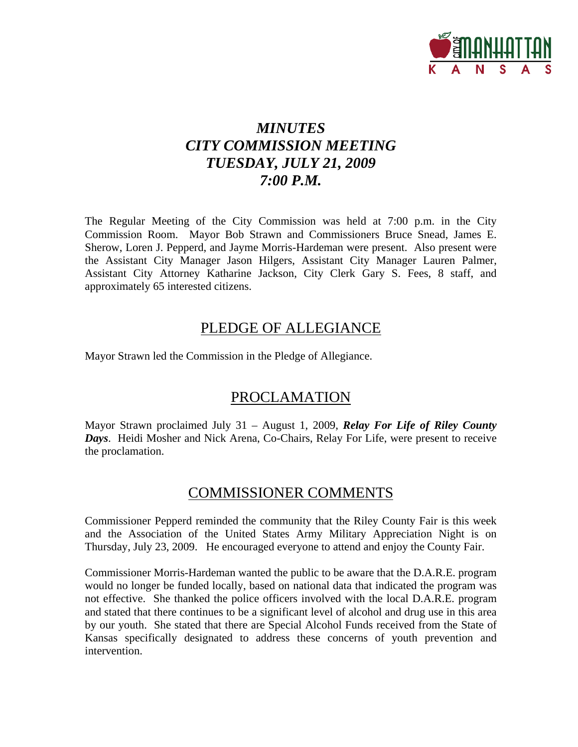

# *MINUTES CITY COMMISSION MEETING TUESDAY, JULY 21, 2009 7:00 P.M.*

The Regular Meeting of the City Commission was held at 7:00 p.m. in the City Commission Room. Mayor Bob Strawn and Commissioners Bruce Snead, James E. Sherow, Loren J. Pepperd, and Jayme Morris-Hardeman were present. Also present were the Assistant City Manager Jason Hilgers, Assistant City Manager Lauren Palmer, Assistant City Attorney Katharine Jackson, City Clerk Gary S. Fees, 8 staff, and approximately 65 interested citizens.

## PLEDGE OF ALLEGIANCE

Mayor Strawn led the Commission in the Pledge of Allegiance.

## PROCLAMATION

Mayor Strawn proclaimed July 31 – August 1, 2009, *Relay For Life of Riley County Days*. Heidi Mosher and Nick Arena, Co-Chairs, Relay For Life, were present to receive the proclamation.

## COMMISSIONER COMMENTS

Commissioner Pepperd reminded the community that the Riley County Fair is this week and the Association of the United States Army Military Appreciation Night is on Thursday, July 23, 2009. He encouraged everyone to attend and enjoy the County Fair.

Commissioner Morris-Hardeman wanted the public to be aware that the D.A.R.E. program would no longer be funded locally, based on national data that indicated the program was not effective. She thanked the police officers involved with the local D.A.R.E. program and stated that there continues to be a significant level of alcohol and drug use in this area by our youth. She stated that there are Special Alcohol Funds received from the State of Kansas specifically designated to address these concerns of youth prevention and intervention.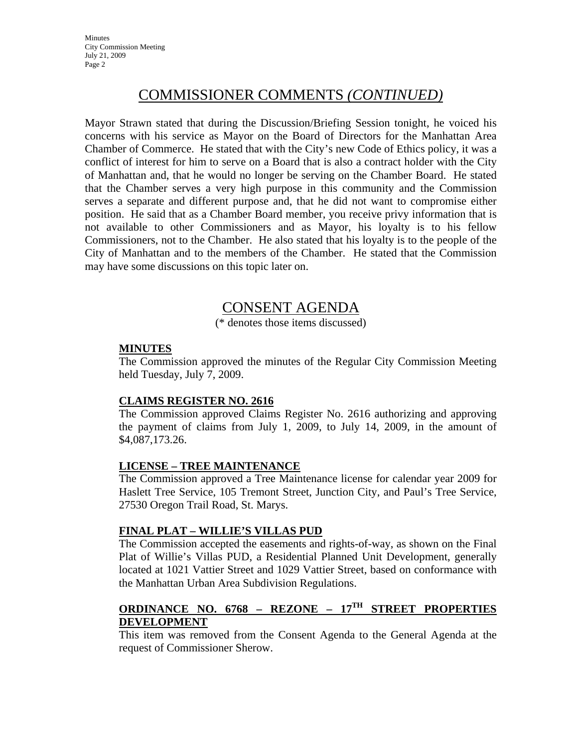**Minutes** City Commission Meeting July 21, 2009 Page 2

# COMMISSIONER COMMENTS *(CONTINUED)*

Mayor Strawn stated that during the Discussion/Briefing Session tonight, he voiced his concerns with his service as Mayor on the Board of Directors for the Manhattan Area Chamber of Commerce. He stated that with the City's new Code of Ethics policy, it was a conflict of interest for him to serve on a Board that is also a contract holder with the City of Manhattan and, that he would no longer be serving on the Chamber Board. He stated that the Chamber serves a very high purpose in this community and the Commission serves a separate and different purpose and, that he did not want to compromise either position. He said that as a Chamber Board member, you receive privy information that is not available to other Commissioners and as Mayor, his loyalty is to his fellow Commissioners, not to the Chamber. He also stated that his loyalty is to the people of the City of Manhattan and to the members of the Chamber. He stated that the Commission may have some discussions on this topic later on.

## CONSENT AGENDA

(\* denotes those items discussed)

#### **MINUTES**

The Commission approved the minutes of the Regular City Commission Meeting held Tuesday, July 7, 2009.

#### **CLAIMS REGISTER NO. 2616**

The Commission approved Claims Register No. 2616 authorizing and approving the payment of claims from July 1, 2009, to July 14, 2009, in the amount of \$4,087,173.26.

#### **LICENSE – TREE MAINTENANCE**

The Commission approved a Tree Maintenance license for calendar year 2009 for Haslett Tree Service, 105 Tremont Street, Junction City, and Paul's Tree Service, 27530 Oregon Trail Road, St. Marys.

#### **FINAL PLAT – WILLIE'S VILLAS PUD**

The Commission accepted the easements and rights-of-way, as shown on the Final Plat of Willie's Villas PUD, a Residential Planned Unit Development, generally located at 1021 Vattier Street and 1029 Vattier Street, based on conformance with the Manhattan Urban Area Subdivision Regulations.

## **ORDINANCE NO. 6768 – REZONE – 17TH STREET PROPERTIES DEVELOPMENT**

This item was removed from the Consent Agenda to the General Agenda at the request of Commissioner Sherow.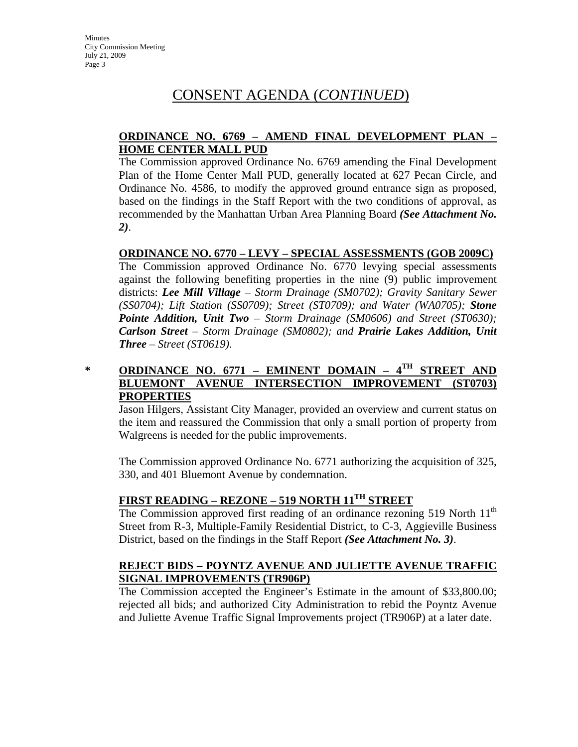#### **ORDINANCE NO. 6769 – AMEND FINAL DEVELOPMENT PLAN – HOME CENTER MALL PUD**

The Commission approved Ordinance No. 6769 amending the Final Development Plan of the Home Center Mall PUD, generally located at 627 Pecan Circle, and Ordinance No. 4586, to modify the approved ground entrance sign as proposed, based on the findings in the Staff Report with the two conditions of approval, as recommended by the Manhattan Urban Area Planning Board *(See Attachment No. 2)*.

#### **ORDINANCE NO. 6770 – LEVY – SPECIAL ASSESSMENTS (GOB 2009C)**

The Commission approved Ordinance No. 6770 levying special assessments against the following benefiting properties in the nine (9) public improvement districts: *Lee Mill Village – Storm Drainage (SM0702); Gravity Sanitary Sewer (SS0704); Lift Station (SS0709); Street (ST0709); and Water (WA0705); Stone Pointe Addition, Unit Two – Storm Drainage (SM0606) and Street (ST0630); Carlson Street – Storm Drainage (SM0802); and Prairie Lakes Addition, Unit Three – Street (ST0619).*

#### **\* ORDINANCE NO. 6771 – EMINENT DOMAIN – 4TH STREET AND BLUEMONT AVENUE INTERSECTION IMPROVEMENT (ST0703) PROPERTIES**

Jason Hilgers, Assistant City Manager, provided an overview and current status on the item and reassured the Commission that only a small portion of property from Walgreens is needed for the public improvements.

The Commission approved Ordinance No. 6771 authorizing the acquisition of 325, 330, and 401 Bluemont Avenue by condemnation.

## **FIRST READING – REZONE – 519 NORTH 11TH STREET**

The Commission approved first reading of an ordinance rezoning 519 North  $11<sup>th</sup>$ Street from R-3, Multiple-Family Residential District, to C-3, Aggieville Business District, based on the findings in the Staff Report *(See Attachment No. 3)*.

#### **REJECT BIDS – POYNTZ AVENUE AND JULIETTE AVENUE TRAFFIC SIGNAL IMPROVEMENTS (TR906P)**

The Commission accepted the Engineer's Estimate in the amount of \$33,800.00; rejected all bids; and authorized City Administration to rebid the Poyntz Avenue and Juliette Avenue Traffic Signal Improvements project (TR906P) at a later date.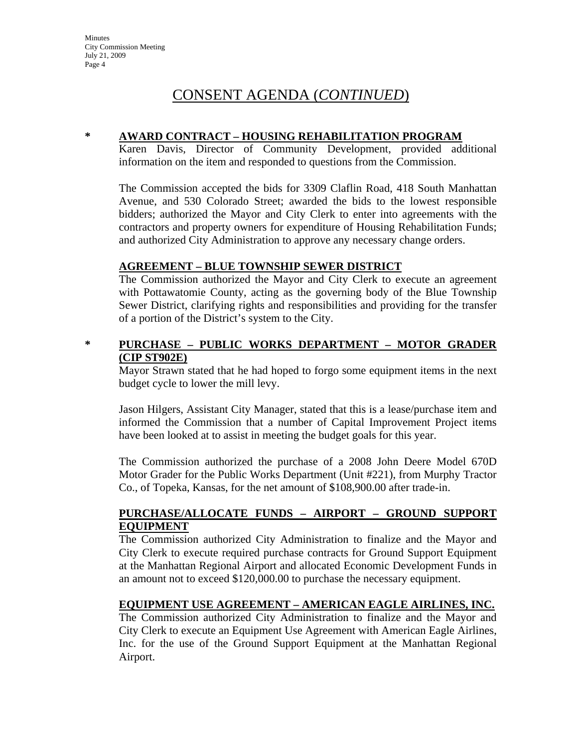#### **\* AWARD CONTRACT – HOUSING REHABILITATION PROGRAM**

Karen Davis, Director of Community Development, provided additional information on the item and responded to questions from the Commission.

The Commission accepted the bids for 3309 Claflin Road, 418 South Manhattan Avenue, and 530 Colorado Street; awarded the bids to the lowest responsible bidders; authorized the Mayor and City Clerk to enter into agreements with the contractors and property owners for expenditure of Housing Rehabilitation Funds; and authorized City Administration to approve any necessary change orders.

#### **AGREEMENT – BLUE TOWNSHIP SEWER DISTRICT**

The Commission authorized the Mayor and City Clerk to execute an agreement with Pottawatomie County, acting as the governing body of the Blue Township Sewer District, clarifying rights and responsibilities and providing for the transfer of a portion of the District's system to the City.

#### **\* PURCHASE – PUBLIC WORKS DEPARTMENT – MOTOR GRADER (CIP ST902E)**

Mayor Strawn stated that he had hoped to forgo some equipment items in the next budget cycle to lower the mill levy.

Jason Hilgers, Assistant City Manager, stated that this is a lease/purchase item and informed the Commission that a number of Capital Improvement Project items have been looked at to assist in meeting the budget goals for this year.

The Commission authorized the purchase of a 2008 John Deere Model 670D Motor Grader for the Public Works Department (Unit #221), from Murphy Tractor Co., of Topeka, Kansas, for the net amount of \$108,900.00 after trade-in.

#### **PURCHASE/ALLOCATE FUNDS – AIRPORT – GROUND SUPPORT EQUIPMENT**

The Commission authorized City Administration to finalize and the Mayor and City Clerk to execute required purchase contracts for Ground Support Equipment at the Manhattan Regional Airport and allocated Economic Development Funds in an amount not to exceed \$120,000.00 to purchase the necessary equipment.

#### **EQUIPMENT USE AGREEMENT – AMERICAN EAGLE AIRLINES, INC.**

The Commission authorized City Administration to finalize and the Mayor and City Clerk to execute an Equipment Use Agreement with American Eagle Airlines, Inc. for the use of the Ground Support Equipment at the Manhattan Regional Airport.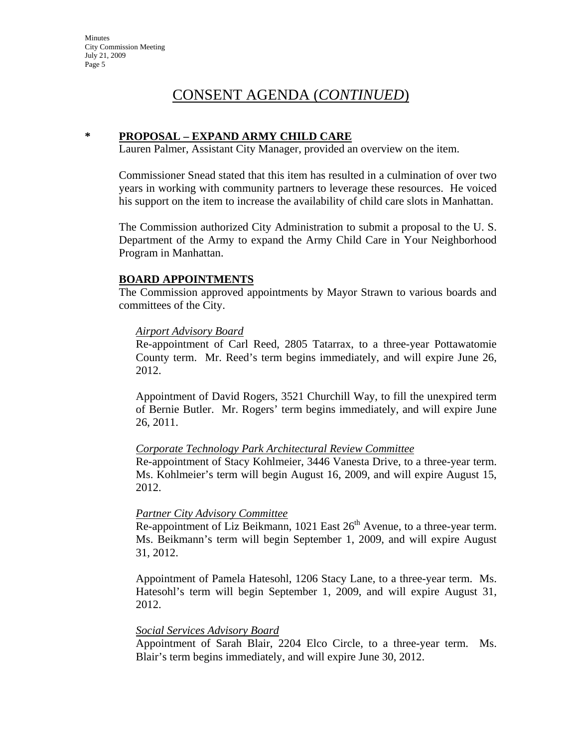#### **\* PROPOSAL – EXPAND ARMY CHILD CARE**

Lauren Palmer, Assistant City Manager, provided an overview on the item.

Commissioner Snead stated that this item has resulted in a culmination of over two years in working with community partners to leverage these resources. He voiced his support on the item to increase the availability of child care slots in Manhattan.

The Commission authorized City Administration to submit a proposal to the U. S. Department of the Army to expand the Army Child Care in Your Neighborhood Program in Manhattan.

#### **BOARD APPOINTMENTS**

The Commission approved appointments by Mayor Strawn to various boards and committees of the City.

#### *Airport Advisory Board*

Re-appointment of Carl Reed, 2805 Tatarrax, to a three-year Pottawatomie County term. Mr. Reed's term begins immediately, and will expire June 26, 2012.

Appointment of David Rogers, 3521 Churchill Way, to fill the unexpired term of Bernie Butler. Mr. Rogers' term begins immediately, and will expire June 26, 2011.

#### *Corporate Technology Park Architectural Review Committee*

Re-appointment of Stacy Kohlmeier, 3446 Vanesta Drive, to a three-year term. Ms. Kohlmeier's term will begin August 16, 2009, and will expire August 15, 2012.

#### *Partner City Advisory Committee*

 $\overline{\text{Re-approx}$  interests of Liz Beikmann, 1021 East  $26<sup>th</sup>$  Avenue, to a three-year term. Ms. Beikmann's term will begin September 1, 2009, and will expire August 31, 2012.

Appointment of Pamela Hatesohl, 1206 Stacy Lane, to a three-year term. Ms. Hatesohl's term will begin September 1, 2009, and will expire August 31, 2012.

#### *Social Services Advisory Board*

Appointment of Sarah Blair, 2204 Elco Circle, to a three-year term. Ms. Blair's term begins immediately, and will expire June 30, 2012.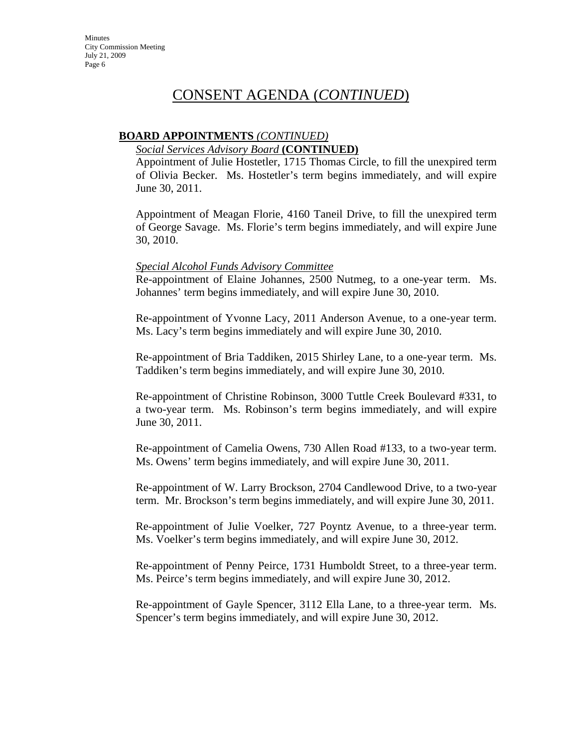#### **BOARD APPOINTMENTS** *(CONTINUED)*

#### *Social Services Advisory Board* **(CONTINUED)**

Appointment of Julie Hostetler, 1715 Thomas Circle, to fill the unexpired term of Olivia Becker. Ms. Hostetler's term begins immediately, and will expire June 30, 2011.

Appointment of Meagan Florie, 4160 Taneil Drive, to fill the unexpired term of George Savage. Ms. Florie's term begins immediately, and will expire June 30, 2010.

#### *Special Alcohol Funds Advisory Committee*

Re-appointment of Elaine Johannes, 2500 Nutmeg, to a one-year term. Ms. Johannes' term begins immediately, and will expire June 30, 2010.

Re-appointment of Yvonne Lacy, 2011 Anderson Avenue, to a one-year term. Ms. Lacy's term begins immediately and will expire June 30, 2010.

Re-appointment of Bria Taddiken, 2015 Shirley Lane, to a one-year term. Ms. Taddiken's term begins immediately, and will expire June 30, 2010.

Re-appointment of Christine Robinson, 3000 Tuttle Creek Boulevard #331, to a two-year term. Ms. Robinson's term begins immediately, and will expire June 30, 2011.

Re-appointment of Camelia Owens, 730 Allen Road #133, to a two-year term. Ms. Owens' term begins immediately, and will expire June 30, 2011.

Re-appointment of W. Larry Brockson, 2704 Candlewood Drive, to a two-year term. Mr. Brockson's term begins immediately, and will expire June 30, 2011.

Re-appointment of Julie Voelker, 727 Poyntz Avenue, to a three-year term. Ms. Voelker's term begins immediately, and will expire June 30, 2012.

Re-appointment of Penny Peirce, 1731 Humboldt Street, to a three-year term. Ms. Peirce's term begins immediately, and will expire June 30, 2012.

Re-appointment of Gayle Spencer, 3112 Ella Lane, to a three-year term. Ms. Spencer's term begins immediately, and will expire June 30, 2012.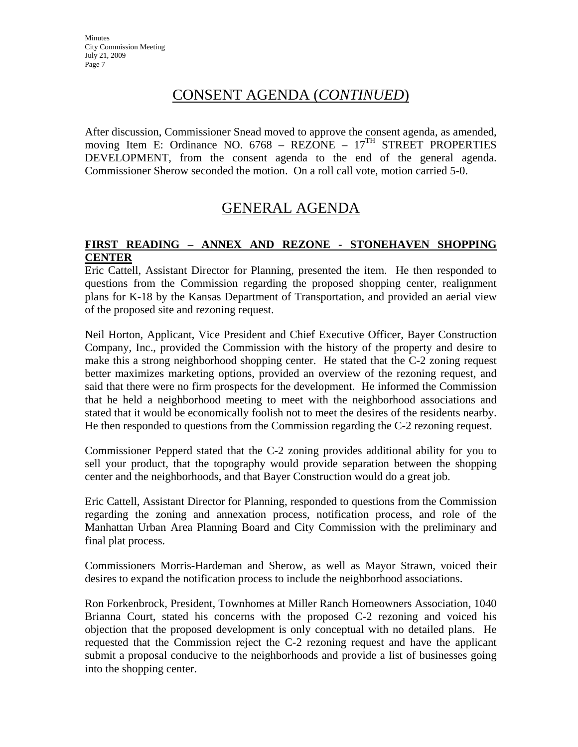After discussion, Commissioner Snead moved to approve the consent agenda, as amended, moving Item E: Ordinance NO.  $6768$  – REZONE –  $17<sup>TH</sup>$  STREET PROPERTIES DEVELOPMENT, from the consent agenda to the end of the general agenda. Commissioner Sherow seconded the motion. On a roll call vote, motion carried 5-0.

## GENERAL AGENDA

#### **FIRST READING – ANNEX AND REZONE - STONEHAVEN SHOPPING CENTER**

Eric Cattell, Assistant Director for Planning, presented the item. He then responded to questions from the Commission regarding the proposed shopping center, realignment plans for K-18 by the Kansas Department of Transportation, and provided an aerial view of the proposed site and rezoning request.

Neil Horton, Applicant, Vice President and Chief Executive Officer, Bayer Construction Company, Inc., provided the Commission with the history of the property and desire to make this a strong neighborhood shopping center. He stated that the C-2 zoning request better maximizes marketing options, provided an overview of the rezoning request, and said that there were no firm prospects for the development. He informed the Commission that he held a neighborhood meeting to meet with the neighborhood associations and stated that it would be economically foolish not to meet the desires of the residents nearby. He then responded to questions from the Commission regarding the C-2 rezoning request.

Commissioner Pepperd stated that the C-2 zoning provides additional ability for you to sell your product, that the topography would provide separation between the shopping center and the neighborhoods, and that Bayer Construction would do a great job.

Eric Cattell, Assistant Director for Planning, responded to questions from the Commission regarding the zoning and annexation process, notification process, and role of the Manhattan Urban Area Planning Board and City Commission with the preliminary and final plat process.

Commissioners Morris-Hardeman and Sherow, as well as Mayor Strawn, voiced their desires to expand the notification process to include the neighborhood associations.

Ron Forkenbrock, President, Townhomes at Miller Ranch Homeowners Association, 1040 Brianna Court, stated his concerns with the proposed C-2 rezoning and voiced his objection that the proposed development is only conceptual with no detailed plans. He requested that the Commission reject the C-2 rezoning request and have the applicant submit a proposal conducive to the neighborhoods and provide a list of businesses going into the shopping center.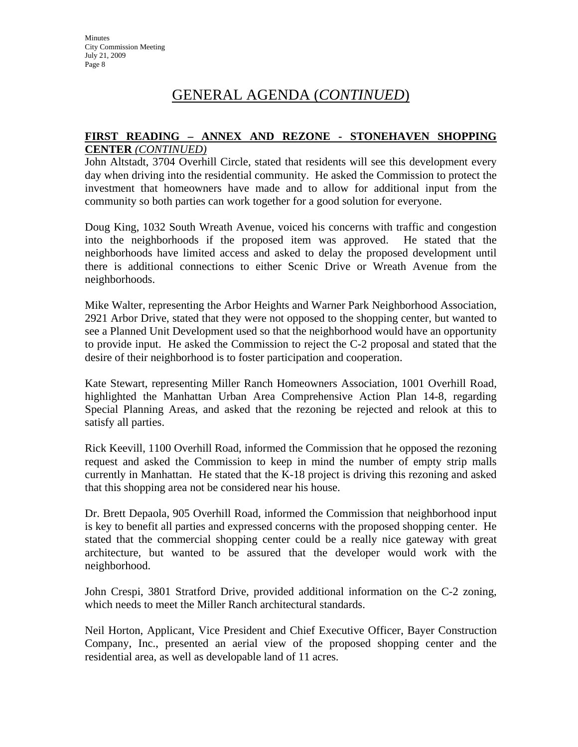#### **FIRST READING – ANNEX AND REZONE - STONEHAVEN SHOPPING CENTER** *(CONTINUED)*

John Altstadt, 3704 Overhill Circle, stated that residents will see this development every day when driving into the residential community. He asked the Commission to protect the investment that homeowners have made and to allow for additional input from the community so both parties can work together for a good solution for everyone.

Doug King, 1032 South Wreath Avenue, voiced his concerns with traffic and congestion into the neighborhoods if the proposed item was approved. He stated that the neighborhoods have limited access and asked to delay the proposed development until there is additional connections to either Scenic Drive or Wreath Avenue from the neighborhoods.

Mike Walter, representing the Arbor Heights and Warner Park Neighborhood Association, 2921 Arbor Drive, stated that they were not opposed to the shopping center, but wanted to see a Planned Unit Development used so that the neighborhood would have an opportunity to provide input. He asked the Commission to reject the C-2 proposal and stated that the desire of their neighborhood is to foster participation and cooperation.

Kate Stewart, representing Miller Ranch Homeowners Association, 1001 Overhill Road, highlighted the Manhattan Urban Area Comprehensive Action Plan 14-8, regarding Special Planning Areas, and asked that the rezoning be rejected and relook at this to satisfy all parties.

Rick Keevill, 1100 Overhill Road, informed the Commission that he opposed the rezoning request and asked the Commission to keep in mind the number of empty strip malls currently in Manhattan. He stated that the K-18 project is driving this rezoning and asked that this shopping area not be considered near his house.

Dr. Brett Depaola, 905 Overhill Road, informed the Commission that neighborhood input is key to benefit all parties and expressed concerns with the proposed shopping center. He stated that the commercial shopping center could be a really nice gateway with great architecture, but wanted to be assured that the developer would work with the neighborhood.

John Crespi, 3801 Stratford Drive, provided additional information on the C-2 zoning, which needs to meet the Miller Ranch architectural standards.

Neil Horton, Applicant, Vice President and Chief Executive Officer, Bayer Construction Company, Inc., presented an aerial view of the proposed shopping center and the residential area, as well as developable land of 11 acres.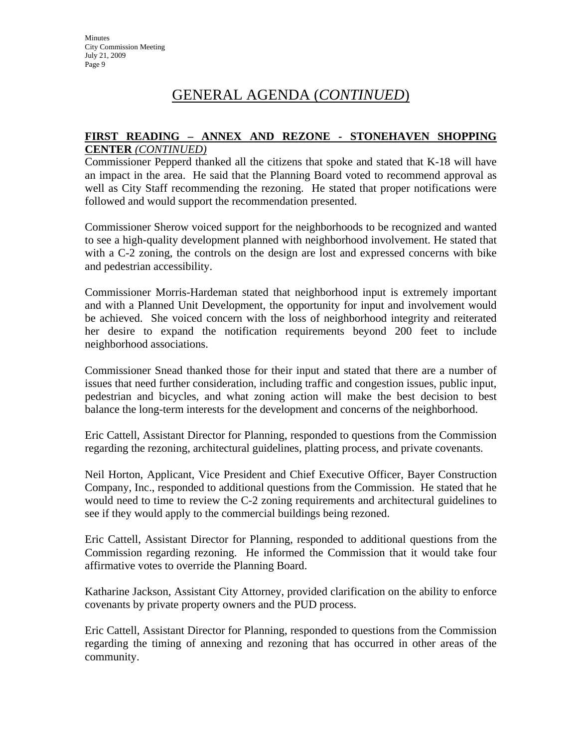#### **FIRST READING – ANNEX AND REZONE - STONEHAVEN SHOPPING CENTER** *(CONTINUED)*

Commissioner Pepperd thanked all the citizens that spoke and stated that K-18 will have an impact in the area. He said that the Planning Board voted to recommend approval as well as City Staff recommending the rezoning. He stated that proper notifications were followed and would support the recommendation presented.

Commissioner Sherow voiced support for the neighborhoods to be recognized and wanted to see a high-quality development planned with neighborhood involvement. He stated that with a C-2 zoning, the controls on the design are lost and expressed concerns with bike and pedestrian accessibility.

Commissioner Morris-Hardeman stated that neighborhood input is extremely important and with a Planned Unit Development, the opportunity for input and involvement would be achieved. She voiced concern with the loss of neighborhood integrity and reiterated her desire to expand the notification requirements beyond 200 feet to include neighborhood associations.

Commissioner Snead thanked those for their input and stated that there are a number of issues that need further consideration, including traffic and congestion issues, public input, pedestrian and bicycles, and what zoning action will make the best decision to best balance the long-term interests for the development and concerns of the neighborhood.

Eric Cattell, Assistant Director for Planning, responded to questions from the Commission regarding the rezoning, architectural guidelines, platting process, and private covenants.

Neil Horton, Applicant, Vice President and Chief Executive Officer, Bayer Construction Company, Inc., responded to additional questions from the Commission. He stated that he would need to time to review the C-2 zoning requirements and architectural guidelines to see if they would apply to the commercial buildings being rezoned.

Eric Cattell, Assistant Director for Planning, responded to additional questions from the Commission regarding rezoning. He informed the Commission that it would take four affirmative votes to override the Planning Board.

Katharine Jackson, Assistant City Attorney, provided clarification on the ability to enforce covenants by private property owners and the PUD process.

Eric Cattell, Assistant Director for Planning, responded to questions from the Commission regarding the timing of annexing and rezoning that has occurred in other areas of the community.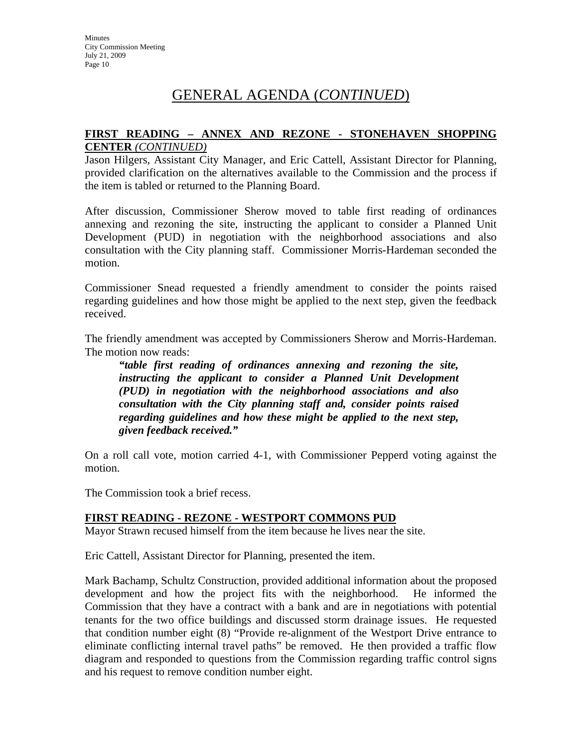#### **FIRST READING – ANNEX AND REZONE - STONEHAVEN SHOPPING CENTER** *(CONTINUED)*

Jason Hilgers, Assistant City Manager, and Eric Cattell, Assistant Director for Planning, provided clarification on the alternatives available to the Commission and the process if the item is tabled or returned to the Planning Board.

After discussion, Commissioner Sherow moved to table first reading of ordinances annexing and rezoning the site, instructing the applicant to consider a Planned Unit Development (PUD) in negotiation with the neighborhood associations and also consultation with the City planning staff. Commissioner Morris-Hardeman seconded the motion.

Commissioner Snead requested a friendly amendment to consider the points raised regarding guidelines and how those might be applied to the next step, given the feedback received.

The friendly amendment was accepted by Commissioners Sherow and Morris-Hardeman. The motion now reads:

*"table first reading of ordinances annexing and rezoning the site, instructing the applicant to consider a Planned Unit Development (PUD) in negotiation with the neighborhood associations and also consultation with the City planning staff and, consider points raised regarding guidelines and how these might be applied to the next step, given feedback received."* 

On a roll call vote, motion carried 4-1, with Commissioner Pepperd voting against the motion.

The Commission took a brief recess.

#### **FIRST READING - REZONE - WESTPORT COMMONS PUD**

Mayor Strawn recused himself from the item because he lives near the site.

Eric Cattell, Assistant Director for Planning, presented the item.

Mark Bachamp, Schultz Construction, provided additional information about the proposed development and how the project fits with the neighborhood. He informed the Commission that they have a contract with a bank and are in negotiations with potential tenants for the two office buildings and discussed storm drainage issues. He requested that condition number eight (8) "Provide re-alignment of the Westport Drive entrance to eliminate conflicting internal travel paths" be removed. He then provided a traffic flow diagram and responded to questions from the Commission regarding traffic control signs and his request to remove condition number eight.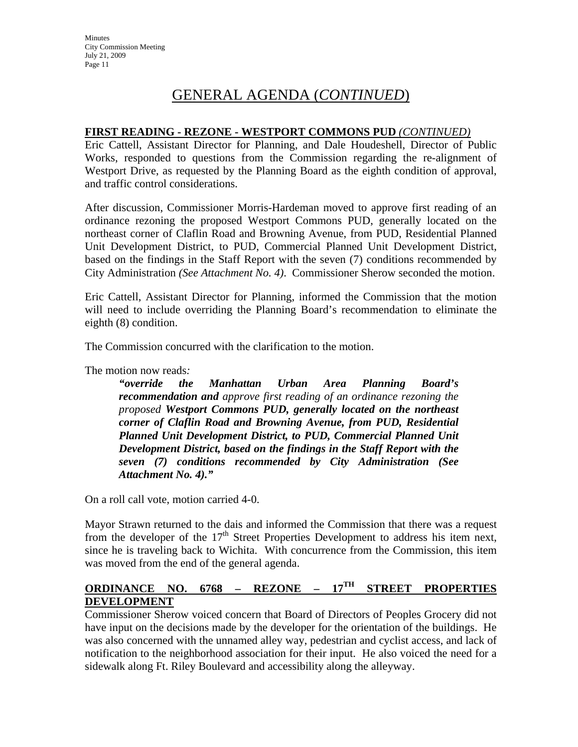#### **FIRST READING - REZONE - WESTPORT COMMONS PUD** *(CONTINUED)*

Eric Cattell, Assistant Director for Planning, and Dale Houdeshell, Director of Public Works, responded to questions from the Commission regarding the re-alignment of Westport Drive, as requested by the Planning Board as the eighth condition of approval, and traffic control considerations.

After discussion, Commissioner Morris-Hardeman moved to approve first reading of an ordinance rezoning the proposed Westport Commons PUD, generally located on the northeast corner of Claflin Road and Browning Avenue, from PUD, Residential Planned Unit Development District, to PUD, Commercial Planned Unit Development District, based on the findings in the Staff Report with the seven (7) conditions recommended by City Administration *(See Attachment No. 4)*. Commissioner Sherow seconded the motion.

Eric Cattell, Assistant Director for Planning, informed the Commission that the motion will need to include overriding the Planning Board's recommendation to eliminate the eighth (8) condition.

The Commission concurred with the clarification to the motion.

The motion now reads*:* 

*"override the Manhattan Urban Area Planning Board's recommendation and approve first reading of an ordinance rezoning the proposed Westport Commons PUD, generally located on the northeast corner of Claflin Road and Browning Avenue, from PUD, Residential Planned Unit Development District, to PUD, Commercial Planned Unit Development District, based on the findings in the Staff Report with the seven (7) conditions recommended by City Administration (See Attachment No. 4)."* 

On a roll call vote, motion carried 4-0.

Mayor Strawn returned to the dais and informed the Commission that there was a request from the developer of the  $17<sup>th</sup>$  Street Properties Development to address his item next, since he is traveling back to Wichita. With concurrence from the Commission, this item was moved from the end of the general agenda.

#### **ORDINANCE NO. 6768 – REZONE – 17TH STREET PROPERTIES DEVELOPMENT**

Commissioner Sherow voiced concern that Board of Directors of Peoples Grocery did not have input on the decisions made by the developer for the orientation of the buildings. He was also concerned with the unnamed alley way, pedestrian and cyclist access, and lack of notification to the neighborhood association for their input. He also voiced the need for a sidewalk along Ft. Riley Boulevard and accessibility along the alleyway.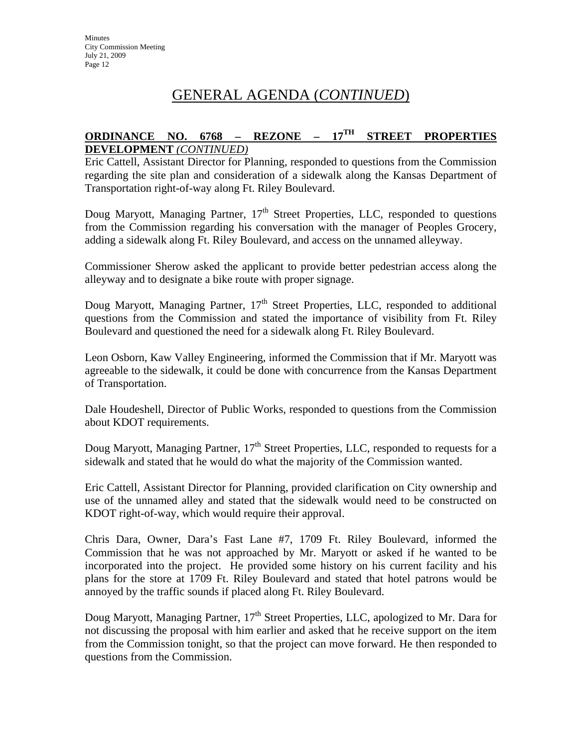## **ORDINANCE NO. 6768 – REZONE – 17TH STREET PROPERTIES DEVELOPMENT** *(CONTINUED)*

Eric Cattell, Assistant Director for Planning, responded to questions from the Commission regarding the site plan and consideration of a sidewalk along the Kansas Department of Transportation right-of-way along Ft. Riley Boulevard.

Doug Maryott, Managing Partner,  $17<sup>th</sup>$  Street Properties, LLC, responded to questions from the Commission regarding his conversation with the manager of Peoples Grocery, adding a sidewalk along Ft. Riley Boulevard, and access on the unnamed alleyway.

Commissioner Sherow asked the applicant to provide better pedestrian access along the alleyway and to designate a bike route with proper signage.

Doug Maryott, Managing Partner, 17<sup>th</sup> Street Properties, LLC, responded to additional questions from the Commission and stated the importance of visibility from Ft. Riley Boulevard and questioned the need for a sidewalk along Ft. Riley Boulevard.

Leon Osborn, Kaw Valley Engineering, informed the Commission that if Mr. Maryott was agreeable to the sidewalk, it could be done with concurrence from the Kansas Department of Transportation.

Dale Houdeshell, Director of Public Works, responded to questions from the Commission about KDOT requirements.

Doug Maryott, Managing Partner,  $17<sup>th</sup>$  Street Properties, LLC, responded to requests for a sidewalk and stated that he would do what the majority of the Commission wanted.

Eric Cattell, Assistant Director for Planning, provided clarification on City ownership and use of the unnamed alley and stated that the sidewalk would need to be constructed on KDOT right-of-way, which would require their approval.

Chris Dara, Owner, Dara's Fast Lane #7, 1709 Ft. Riley Boulevard, informed the Commission that he was not approached by Mr. Maryott or asked if he wanted to be incorporated into the project. He provided some history on his current facility and his plans for the store at 1709 Ft. Riley Boulevard and stated that hotel patrons would be annoyed by the traffic sounds if placed along Ft. Riley Boulevard.

Doug Maryott, Managing Partner,  $17<sup>th</sup>$  Street Properties, LLC, apologized to Mr. Dara for not discussing the proposal with him earlier and asked that he receive support on the item from the Commission tonight, so that the project can move forward. He then responded to questions from the Commission.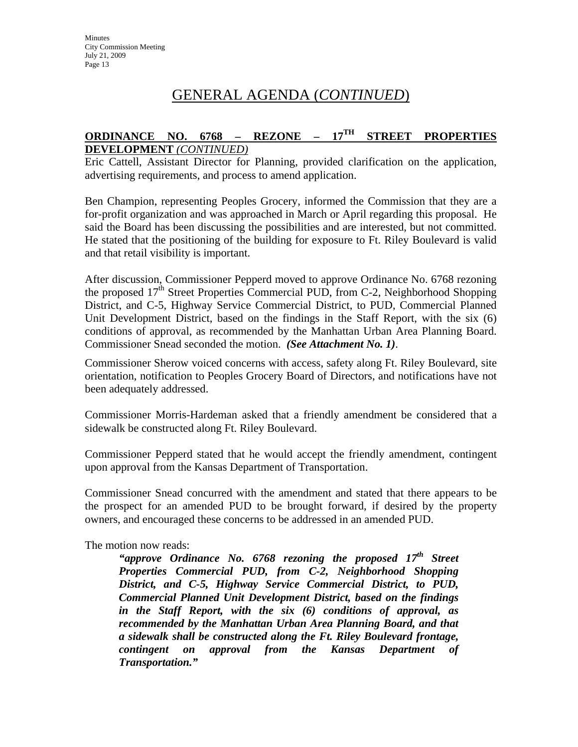## **ORDINANCE NO. 6768 – REZONE – 17TH STREET PROPERTIES DEVELOPMENT** *(CONTINUED)*

Eric Cattell, Assistant Director for Planning, provided clarification on the application, advertising requirements, and process to amend application.

Ben Champion, representing Peoples Grocery, informed the Commission that they are a for-profit organization and was approached in March or April regarding this proposal. He said the Board has been discussing the possibilities and are interested, but not committed. He stated that the positioning of the building for exposure to Ft. Riley Boulevard is valid and that retail visibility is important.

After discussion, Commissioner Pepperd moved to approve Ordinance No. 6768 rezoning the proposed  $17<sup>th</sup>$  Street Properties Commercial PUD, from C-2, Neighborhood Shopping District, and C-5, Highway Service Commercial District, to PUD, Commercial Planned Unit Development District, based on the findings in the Staff Report, with the six (6) conditions of approval, as recommended by the Manhattan Urban Area Planning Board. Commissioner Snead seconded the motion. *(See Attachment No. 1)*.

Commissioner Sherow voiced concerns with access, safety along Ft. Riley Boulevard, site orientation, notification to Peoples Grocery Board of Directors, and notifications have not been adequately addressed.

Commissioner Morris-Hardeman asked that a friendly amendment be considered that a sidewalk be constructed along Ft. Riley Boulevard.

Commissioner Pepperd stated that he would accept the friendly amendment, contingent upon approval from the Kansas Department of Transportation.

Commissioner Snead concurred with the amendment and stated that there appears to be the prospect for an amended PUD to be brought forward, if desired by the property owners, and encouraged these concerns to be addressed in an amended PUD.

The motion now reads:

"approve Ordinance No. 6768 rezoning the proposed 17<sup>th</sup> Street *Properties Commercial PUD, from C-2, Neighborhood Shopping District, and C-5, Highway Service Commercial District, to PUD, Commercial Planned Unit Development District, based on the findings in the Staff Report, with the six (6) conditions of approval, as recommended by the Manhattan Urban Area Planning Board, and that a sidewalk shall be constructed along the Ft. Riley Boulevard frontage, contingent on approval from the Kansas Department of Transportation."*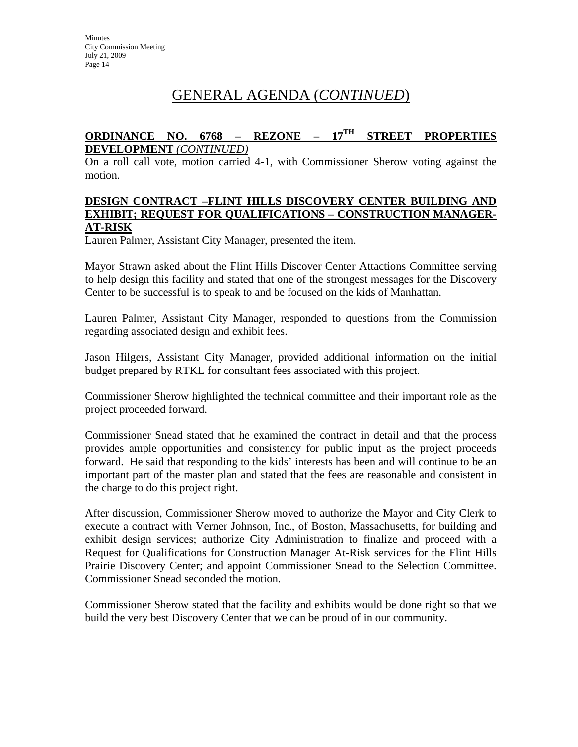## **ORDINANCE NO. 6768 – REZONE – 17TH STREET PROPERTIES DEVELOPMENT** *(CONTINUED)*

On a roll call vote, motion carried 4-1, with Commissioner Sherow voting against the motion.

#### **DESIGN CONTRACT –FLINT HILLS DISCOVERY CENTER BUILDING AND EXHIBIT; REQUEST FOR QUALIFICATIONS – CONSTRUCTION MANAGER-AT-RISK**

Lauren Palmer, Assistant City Manager, presented the item.

Mayor Strawn asked about the Flint Hills Discover Center Attactions Committee serving to help design this facility and stated that one of the strongest messages for the Discovery Center to be successful is to speak to and be focused on the kids of Manhattan.

Lauren Palmer, Assistant City Manager, responded to questions from the Commission regarding associated design and exhibit fees.

Jason Hilgers, Assistant City Manager, provided additional information on the initial budget prepared by RTKL for consultant fees associated with this project.

Commissioner Sherow highlighted the technical committee and their important role as the project proceeded forward.

Commissioner Snead stated that he examined the contract in detail and that the process provides ample opportunities and consistency for public input as the project proceeds forward. He said that responding to the kids' interests has been and will continue to be an important part of the master plan and stated that the fees are reasonable and consistent in the charge to do this project right.

After discussion, Commissioner Sherow moved to authorize the Mayor and City Clerk to execute a contract with Verner Johnson, Inc., of Boston, Massachusetts, for building and exhibit design services; authorize City Administration to finalize and proceed with a Request for Qualifications for Construction Manager At-Risk services for the Flint Hills Prairie Discovery Center; and appoint Commissioner Snead to the Selection Committee. Commissioner Snead seconded the motion.

Commissioner Sherow stated that the facility and exhibits would be done right so that we build the very best Discovery Center that we can be proud of in our community.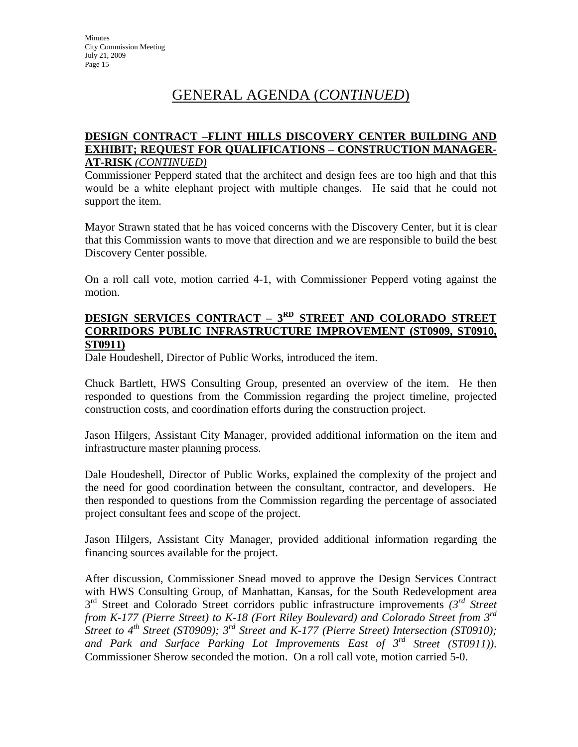#### **DESIGN CONTRACT –FLINT HILLS DISCOVERY CENTER BUILDING AND EXHIBIT; REQUEST FOR QUALIFICATIONS – CONSTRUCTION MANAGER-AT-RISK** *(CONTINUED)*

Commissioner Pepperd stated that the architect and design fees are too high and that this would be a white elephant project with multiple changes. He said that he could not support the item.

Mayor Strawn stated that he has voiced concerns with the Discovery Center, but it is clear that this Commission wants to move that direction and we are responsible to build the best Discovery Center possible.

On a roll call vote, motion carried 4-1, with Commissioner Pepperd voting against the motion.

#### **DESIGN SERVICES CONTRACT – 3RD STREET AND COLORADO STREET CORRIDORS PUBLIC INFRASTRUCTURE IMPROVEMENT (ST0909, ST0910, ST0911)**

Dale Houdeshell, Director of Public Works, introduced the item.

Chuck Bartlett, HWS Consulting Group, presented an overview of the item. He then responded to questions from the Commission regarding the project timeline, projected construction costs, and coordination efforts during the construction project.

Jason Hilgers, Assistant City Manager, provided additional information on the item and infrastructure master planning process.

Dale Houdeshell, Director of Public Works, explained the complexity of the project and the need for good coordination between the consultant, contractor, and developers. He then responded to questions from the Commission regarding the percentage of associated project consultant fees and scope of the project.

Jason Hilgers, Assistant City Manager, provided additional information regarding the financing sources available for the project.

After discussion, Commissioner Snead moved to approve the Design Services Contract with HWS Consulting Group, of Manhattan, Kansas, for the South Redevelopment area 3<sup>rd</sup> Street and Colorado Street corridors public infrastructure improvements  $3^{rd}$  Street *from K-177 (Pierre Street) to K-18 (Fort Riley Boulevard) and Colorado Street from 3rd Street to 4<sup>th</sup> Street (ST0909); 3<sup>rd</sup> Street and K-177 (Pierre Street) Intersection (ST0910); and Park and Surface Parking Lot Improvements East of 3rd Street (ST0911))*. Commissioner Sherow seconded the motion. On a roll call vote, motion carried 5-0.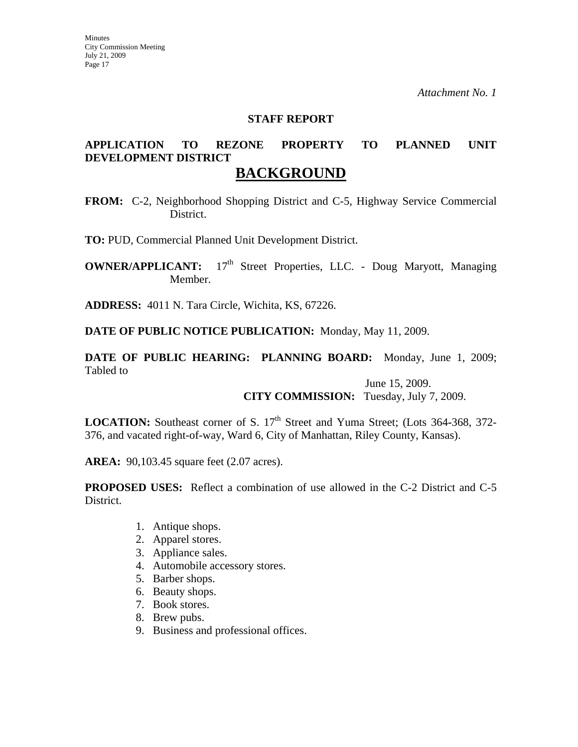#### **STAFF REPORT**

# **APPLICATION TO REZONE PROPERTY TO PLANNED UNIT DEVELOPMENT DISTRICT**

## **BACKGROUND**

**FROM:** C-2, Neighborhood Shopping District and C-5, Highway Service Commercial District.

**TO:** PUD, Commercial Planned Unit Development District.

**OWNER/APPLICANT:** 17<sup>th</sup> Street Properties, LLC. - Doug Maryott, Managing Member.

**ADDRESS:** 4011 N. Tara Circle, Wichita, KS, 67226.

**DATE OF PUBLIC NOTICE PUBLICATION:** Monday, May 11, 2009.

**DATE OF PUBLIC HEARING: PLANNING BOARD:** Monday, June 1, 2009; Tabled to

> June 15, 2009. **CITY COMMISSION:** Tuesday, July 7, 2009.

**LOCATION:** Southeast corner of S. 17<sup>th</sup> Street and Yuma Street; (Lots 364-368, 372-376, and vacated right-of-way, Ward 6, City of Manhattan, Riley County, Kansas).

**AREA:** 90,103.45 square feet (2.07 acres).

**PROPOSED USES:** Reflect a combination of use allowed in the C-2 District and C-5 District.

- 1. Antique shops.
- 2. Apparel stores.
- 3. Appliance sales.
- 4. Automobile accessory stores.
- 5. Barber shops.
- 6. Beauty shops.
- 7. Book stores.
- 8. Brew pubs.
- 9. Business and professional offices.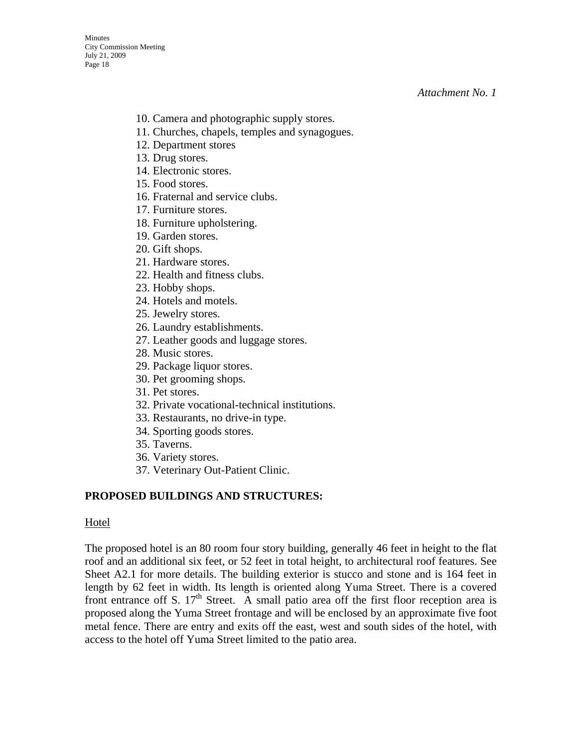- 10. Camera and photographic supply stores.
- 11. Churches, chapels, temples and synagogues.
- 12. Department stores
- 13. Drug stores.
- 14. Electronic stores.
- 15. Food stores.
- 16. Fraternal and service clubs.
- 17. Furniture stores.
- 18. Furniture upholstering.
- 19. Garden stores.
- 20. Gift shops.
- 21. Hardware stores.
- 22. Health and fitness clubs.
- 23. Hobby shops.
- 24. Hotels and motels.
- 25. Jewelry stores.
- 26. Laundry establishments.
- 27. Leather goods and luggage stores.
- 28. Music stores.
- 29. Package liquor stores.
- 30. Pet grooming shops.
- 31. Pet stores.
- 32. Private vocational-technical institutions.
- 33. Restaurants, no drive-in type.
- 34. Sporting goods stores.
- 35. Taverns.
- 36. Variety stores.
- 37. Veterinary Out-Patient Clinic.

#### **PROPOSED BUILDINGS AND STRUCTURES:**

#### Hotel

The proposed hotel is an 80 room four story building, generally 46 feet in height to the flat roof and an additional six feet, or 52 feet in total height, to architectural roof features. See Sheet A2.1 for more details. The building exterior is stucco and stone and is 164 feet in length by 62 feet in width. Its length is oriented along Yuma Street. There is a covered front entrance off S.  $17<sup>th</sup>$  Street. A small patio area off the first floor reception area is proposed along the Yuma Street frontage and will be enclosed by an approximate five foot metal fence. There are entry and exits off the east, west and south sides of the hotel, with access to the hotel off Yuma Street limited to the patio area.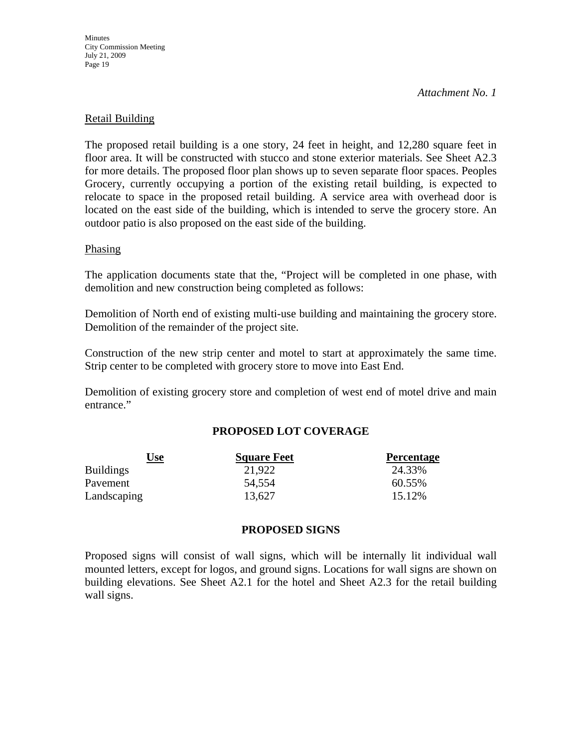**Minutes** City Commission Meeting July 21, 2009 Page 19

*Attachment No. 1*

#### Retail Building

The proposed retail building is a one story, 24 feet in height, and 12,280 square feet in floor area. It will be constructed with stucco and stone exterior materials. See Sheet A2.3 for more details. The proposed floor plan shows up to seven separate floor spaces. Peoples Grocery, currently occupying a portion of the existing retail building, is expected to relocate to space in the proposed retail building. A service area with overhead door is located on the east side of the building, which is intended to serve the grocery store. An outdoor patio is also proposed on the east side of the building.

#### Phasing

The application documents state that the, "Project will be completed in one phase, with demolition and new construction being completed as follows:

Demolition of North end of existing multi-use building and maintaining the grocery store. Demolition of the remainder of the project site.

Construction of the new strip center and motel to start at approximately the same time. Strip center to be completed with grocery store to move into East End.

Demolition of existing grocery store and completion of west end of motel drive and main entrance."

#### **PROPOSED LOT COVERAGE**

| Use              | <b>Square Feet</b> | <b>Percentage</b> |
|------------------|--------------------|-------------------|
| <b>Buildings</b> | 21,922             | 24.33%            |
| Pavement         | 54,554             | 60.55%            |
| Landscaping      | 13,627             | 15.12%            |

#### **PROPOSED SIGNS**

Proposed signs will consist of wall signs, which will be internally lit individual wall mounted letters, except for logos, and ground signs. Locations for wall signs are shown on building elevations. See Sheet A2.1 for the hotel and Sheet A2.3 for the retail building wall signs.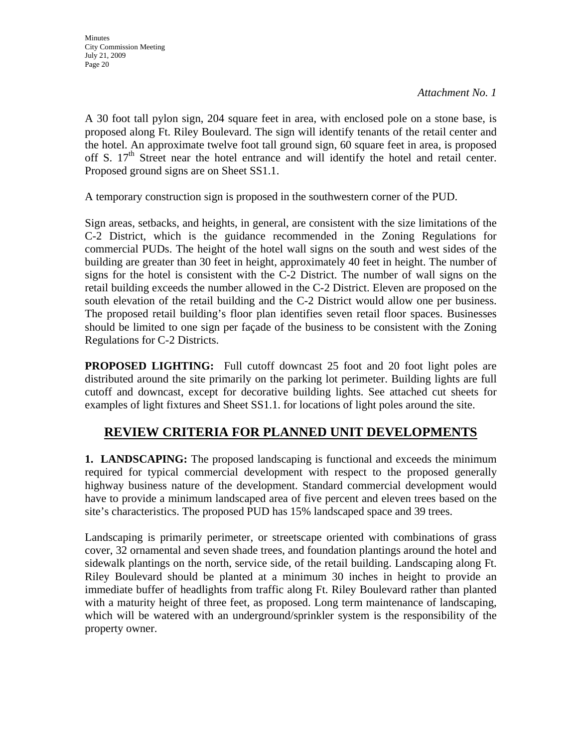A 30 foot tall pylon sign, 204 square feet in area, with enclosed pole on a stone base, is proposed along Ft. Riley Boulevard. The sign will identify tenants of the retail center and the hotel. An approximate twelve foot tall ground sign, 60 square feet in area, is proposed off S.  $17<sup>th</sup>$  Street near the hotel entrance and will identify the hotel and retail center. Proposed ground signs are on Sheet SS1.1.

A temporary construction sign is proposed in the southwestern corner of the PUD.

Sign areas, setbacks, and heights, in general, are consistent with the size limitations of the C-2 District, which is the guidance recommended in the Zoning Regulations for commercial PUDs. The height of the hotel wall signs on the south and west sides of the building are greater than 30 feet in height, approximately 40 feet in height. The number of signs for the hotel is consistent with the C-2 District. The number of wall signs on the retail building exceeds the number allowed in the C-2 District. Eleven are proposed on the south elevation of the retail building and the C-2 District would allow one per business. The proposed retail building's floor plan identifies seven retail floor spaces. Businesses should be limited to one sign per façade of the business to be consistent with the Zoning Regulations for C-2 Districts.

**PROPOSED LIGHTING:** Full cutoff downcast 25 foot and 20 foot light poles are distributed around the site primarily on the parking lot perimeter. Building lights are full cutoff and downcast, except for decorative building lights. See attached cut sheets for examples of light fixtures and Sheet SS1.1. for locations of light poles around the site.

## **REVIEW CRITERIA FOR PLANNED UNIT DEVELOPMENTS**

**1. LANDSCAPING:** The proposed landscaping is functional and exceeds the minimum required for typical commercial development with respect to the proposed generally highway business nature of the development. Standard commercial development would have to provide a minimum landscaped area of five percent and eleven trees based on the site's characteristics. The proposed PUD has 15% landscaped space and 39 trees.

Landscaping is primarily perimeter, or streetscape oriented with combinations of grass cover, 32 ornamental and seven shade trees, and foundation plantings around the hotel and sidewalk plantings on the north, service side, of the retail building. Landscaping along Ft. Riley Boulevard should be planted at a minimum 30 inches in height to provide an immediate buffer of headlights from traffic along Ft. Riley Boulevard rather than planted with a maturity height of three feet, as proposed. Long term maintenance of landscaping, which will be watered with an underground/sprinkler system is the responsibility of the property owner.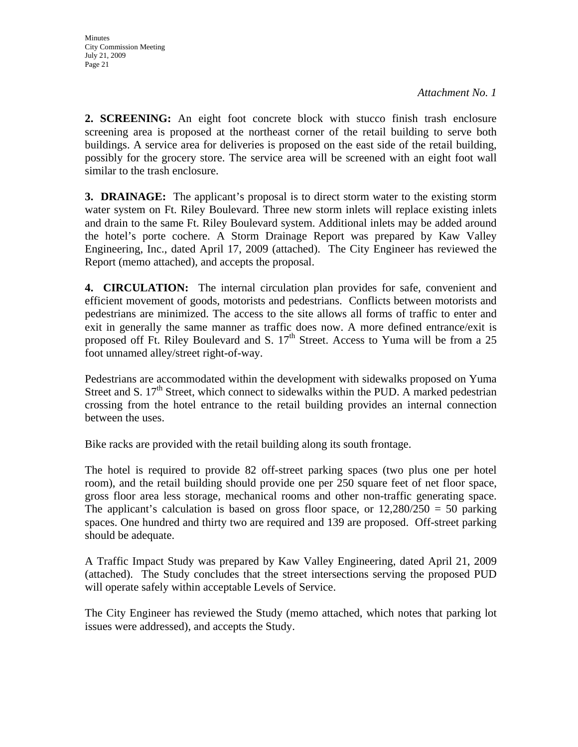**2. SCREENING:** An eight foot concrete block with stucco finish trash enclosure screening area is proposed at the northeast corner of the retail building to serve both buildings. A service area for deliveries is proposed on the east side of the retail building, possibly for the grocery store. The service area will be screened with an eight foot wall similar to the trash enclosure.

**3. DRAINAGE:** The applicant's proposal is to direct storm water to the existing storm water system on Ft. Riley Boulevard. Three new storm inlets will replace existing inlets and drain to the same Ft. Riley Boulevard system. Additional inlets may be added around the hotel's porte cochere. A Storm Drainage Report was prepared by Kaw Valley Engineering, Inc., dated April 17, 2009 (attached). The City Engineer has reviewed the Report (memo attached), and accepts the proposal.

**4. CIRCULATION:** The internal circulation plan provides for safe, convenient and efficient movement of goods, motorists and pedestrians. Conflicts between motorists and pedestrians are minimized. The access to the site allows all forms of traffic to enter and exit in generally the same manner as traffic does now. A more defined entrance/exit is proposed off Ft. Riley Boulevard and S.  $17<sup>th</sup>$  Street. Access to Yuma will be from a 25 foot unnamed alley/street right-of-way.

Pedestrians are accommodated within the development with sidewalks proposed on Yuma Street and S.  $17<sup>th</sup>$  Street, which connect to sidewalks within the PUD. A marked pedestrian crossing from the hotel entrance to the retail building provides an internal connection between the uses.

Bike racks are provided with the retail building along its south frontage.

The hotel is required to provide 82 off-street parking spaces (two plus one per hotel room), and the retail building should provide one per 250 square feet of net floor space, gross floor area less storage, mechanical rooms and other non-traffic generating space. The applicant's calculation is based on gross floor space, or  $12,280/250 = 50$  parking spaces. One hundred and thirty two are required and 139 are proposed. Off-street parking should be adequate.

A Traffic Impact Study was prepared by Kaw Valley Engineering, dated April 21, 2009 (attached). The Study concludes that the street intersections serving the proposed PUD will operate safely within acceptable Levels of Service.

The City Engineer has reviewed the Study (memo attached, which notes that parking lot issues were addressed), and accepts the Study.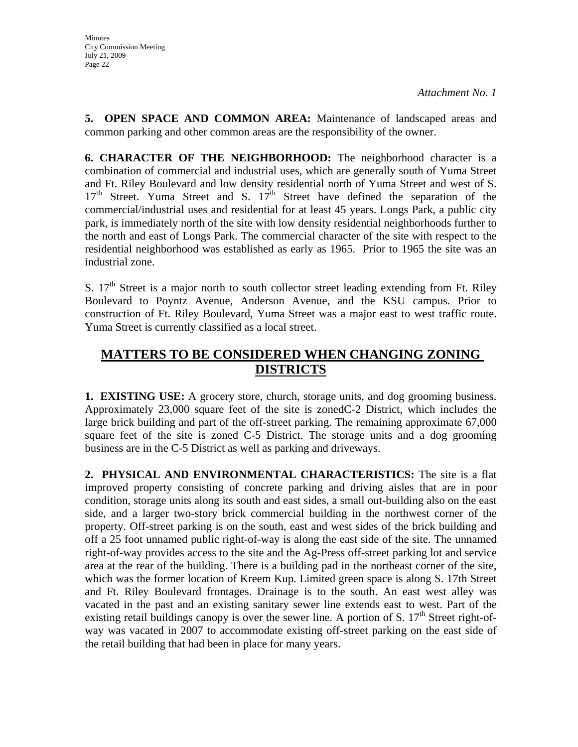**5. OPEN SPACE AND COMMON AREA:** Maintenance of landscaped areas and common parking and other common areas are the responsibility of the owner.

**6. CHARACTER OF THE NEIGHBORHOOD:** The neighborhood character is a combination of commercial and industrial uses, which are generally south of Yuma Street and Ft. Riley Boulevard and low density residential north of Yuma Street and west of S.  $17<sup>th</sup>$  Street. Yuma Street and S.  $17<sup>th</sup>$  Street have defined the separation of the commercial/industrial uses and residential for at least 45 years. Longs Park, a public city park, is immediately north of the site with low density residential neighborhoods further to the north and east of Longs Park. The commercial character of the site with respect to the residential neighborhood was established as early as 1965. Prior to 1965 the site was an industrial zone.

S.  $17<sup>th</sup>$  Street is a major north to south collector street leading extending from Ft. Riley Boulevard to Poyntz Avenue, Anderson Avenue, and the KSU campus. Prior to construction of Ft. Riley Boulevard, Yuma Street was a major east to west traffic route. Yuma Street is currently classified as a local street.

## **MATTERS TO BE CONSIDERED WHEN CHANGING ZONING DISTRICTS**

**1. EXISTING USE:** A grocery store, church, storage units, and dog grooming business. Approximately 23,000 square feet of the site is zonedC-2 District, which includes the large brick building and part of the off-street parking. The remaining approximate 67,000 square feet of the site is zoned C-5 District. The storage units and a dog grooming business are in the C-5 District as well as parking and driveways.

**2. PHYSICAL AND ENVIRONMENTAL CHARACTERISTICS:** The site is a flat improved property consisting of concrete parking and driving aisles that are in poor condition, storage units along its south and east sides, a small out-building also on the east side, and a larger two-story brick commercial building in the northwest corner of the property. Off-street parking is on the south, east and west sides of the brick building and off a 25 foot unnamed public right-of-way is along the east side of the site. The unnamed right-of-way provides access to the site and the Ag-Press off-street parking lot and service area at the rear of the building. There is a building pad in the northeast corner of the site, which was the former location of Kreem Kup. Limited green space is along S. 17th Street and Ft. Riley Boulevard frontages. Drainage is to the south. An east west alley was vacated in the past and an existing sanitary sewer line extends east to west. Part of the existing retail buildings canopy is over the sewer line. A portion of S.  $17<sup>th</sup>$  Street right-ofway was vacated in 2007 to accommodate existing off-street parking on the east side of the retail building that had been in place for many years.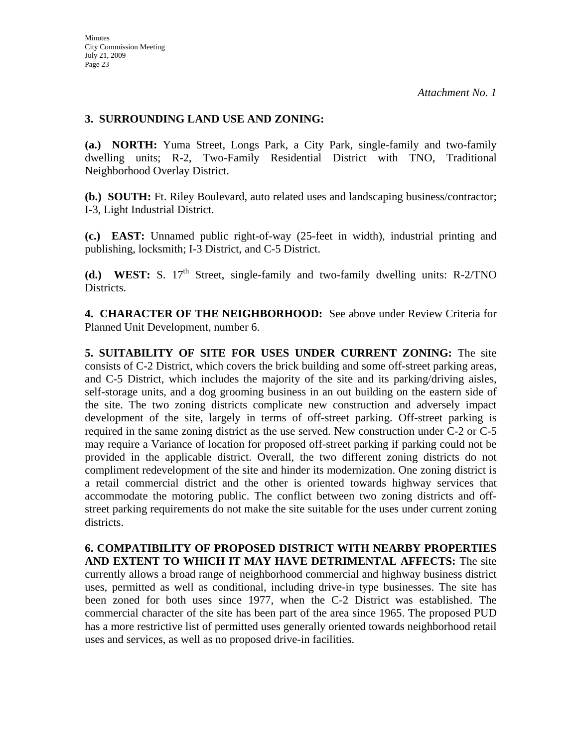#### **3. SURROUNDING LAND USE AND ZONING:**

**(a.) NORTH:** Yuma Street, Longs Park, a City Park, single-family and two-family dwelling units; R-2, Two-Family Residential District with TNO, Traditional Neighborhood Overlay District.

**(b.) SOUTH:** Ft. Riley Boulevard, auto related uses and landscaping business/contractor; I-3, Light Industrial District.

**(c.) EAST:** Unnamed public right-of-way (25-feet in width), industrial printing and publishing, locksmith; I-3 District, and C-5 District.

**(d.) WEST:** S.  $17<sup>th</sup>$  Street, single-family and two-family dwelling units: R-2/TNO Districts.

**4. CHARACTER OF THE NEIGHBORHOOD:** See above under Review Criteria for Planned Unit Development, number 6.

**5. SUITABILITY OF SITE FOR USES UNDER CURRENT ZONING:** The site consists of C-2 District, which covers the brick building and some off-street parking areas, and C-5 District, which includes the majority of the site and its parking/driving aisles, self-storage units, and a dog grooming business in an out building on the eastern side of the site. The two zoning districts complicate new construction and adversely impact development of the site, largely in terms of off-street parking. Off-street parking is required in the same zoning district as the use served. New construction under C-2 or C-5 may require a Variance of location for proposed off-street parking if parking could not be provided in the applicable district. Overall, the two different zoning districts do not compliment redevelopment of the site and hinder its modernization. One zoning district is a retail commercial district and the other is oriented towards highway services that accommodate the motoring public. The conflict between two zoning districts and offstreet parking requirements do not make the site suitable for the uses under current zoning districts.

**6. COMPATIBILITY OF PROPOSED DISTRICT WITH NEARBY PROPERTIES AND EXTENT TO WHICH IT MAY HAVE DETRIMENTAL AFFECTS:** The site currently allows a broad range of neighborhood commercial and highway business district uses, permitted as well as conditional, including drive-in type businesses. The site has been zoned for both uses since 1977, when the C-2 District was established. The commercial character of the site has been part of the area since 1965. The proposed PUD has a more restrictive list of permitted uses generally oriented towards neighborhood retail uses and services, as well as no proposed drive-in facilities.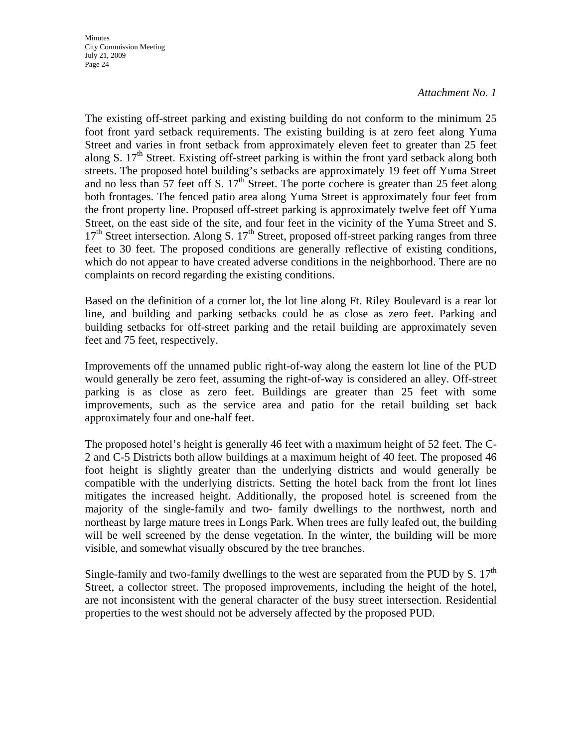**Minutes** City Commission Meeting July 21, 2009 Page 24

#### *Attachment No. 1*

The existing off-street parking and existing building do not conform to the minimum 25 foot front yard setback requirements. The existing building is at zero feet along Yuma Street and varies in front setback from approximately eleven feet to greater than 25 feet along S.  $17<sup>th</sup>$  Street. Existing off-street parking is within the front yard setback along both streets. The proposed hotel building's setbacks are approximately 19 feet off Yuma Street and no less than 57 feet off S.  $17<sup>th</sup>$  Street. The porte cochere is greater than 25 feet along both frontages. The fenced patio area along Yuma Street is approximately four feet from the front property line. Proposed off-street parking is approximately twelve feet off Yuma Street, on the east side of the site, and four feet in the vicinity of the Yuma Street and S.  $17<sup>th</sup>$  Street intersection. Along S.  $17<sup>th</sup>$  Street, proposed off-street parking ranges from three feet to 30 feet. The proposed conditions are generally reflective of existing conditions, which do not appear to have created adverse conditions in the neighborhood. There are no complaints on record regarding the existing conditions.

Based on the definition of a corner lot, the lot line along Ft. Riley Boulevard is a rear lot line, and building and parking setbacks could be as close as zero feet. Parking and building setbacks for off-street parking and the retail building are approximately seven feet and 75 feet, respectively.

Improvements off the unnamed public right-of-way along the eastern lot line of the PUD would generally be zero feet, assuming the right-of-way is considered an alley. Off-street parking is as close as zero feet. Buildings are greater than 25 feet with some improvements, such as the service area and patio for the retail building set back approximately four and one-half feet.

The proposed hotel's height is generally 46 feet with a maximum height of 52 feet. The C-2 and C-5 Districts both allow buildings at a maximum height of 40 feet. The proposed 46 foot height is slightly greater than the underlying districts and would generally be compatible with the underlying districts. Setting the hotel back from the front lot lines mitigates the increased height. Additionally, the proposed hotel is screened from the majority of the single-family and two- family dwellings to the northwest, north and northeast by large mature trees in Longs Park. When trees are fully leafed out, the building will be well screened by the dense vegetation. In the winter, the building will be more visible, and somewhat visually obscured by the tree branches.

Single-family and two-family dwellings to the west are separated from the PUD by S.  $17<sup>th</sup>$ Street, a collector street. The proposed improvements, including the height of the hotel, are not inconsistent with the general character of the busy street intersection. Residential properties to the west should not be adversely affected by the proposed PUD.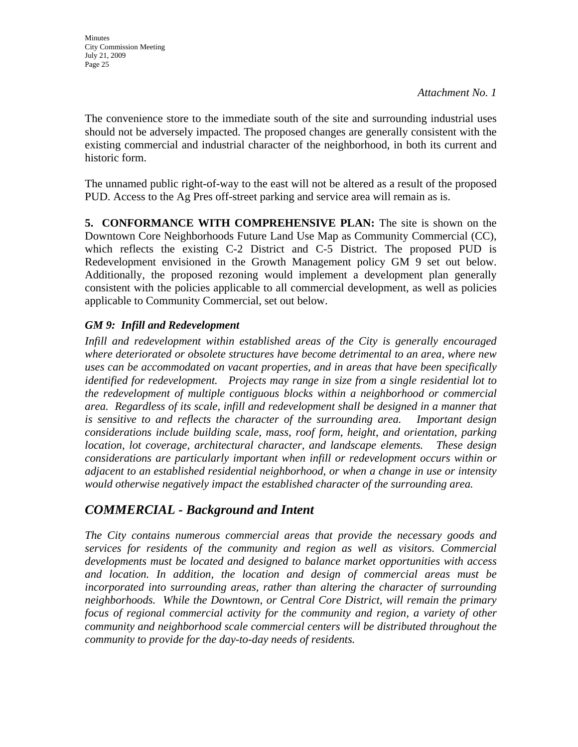The convenience store to the immediate south of the site and surrounding industrial uses should not be adversely impacted. The proposed changes are generally consistent with the existing commercial and industrial character of the neighborhood, in both its current and historic form.

The unnamed public right-of-way to the east will not be altered as a result of the proposed PUD. Access to the Ag Pres off-street parking and service area will remain as is.

**5. CONFORMANCE WITH COMPREHENSIVE PLAN:** The site is shown on the Downtown Core Neighborhoods Future Land Use Map as Community Commercial (CC), which reflects the existing C-2 District and C-5 District. The proposed PUD is Redevelopment envisioned in the Growth Management policy GM 9 set out below. Additionally, the proposed rezoning would implement a development plan generally consistent with the policies applicable to all commercial development, as well as policies applicable to Community Commercial, set out below.

## *GM 9: Infill and Redevelopment*

*Infill and redevelopment within established areas of the City is generally encouraged where deteriorated or obsolete structures have become detrimental to an area, where new uses can be accommodated on vacant properties, and in areas that have been specifically identified for redevelopment. Projects may range in size from a single residential lot to the redevelopment of multiple contiguous blocks within a neighborhood or commercial area. Regardless of its scale, infill and redevelopment shall be designed in a manner that is sensitive to and reflects the character of the surrounding area. Important design considerations include building scale, mass, roof form, height, and orientation, parking location, lot coverage, architectural character, and landscape elements. These design considerations are particularly important when infill or redevelopment occurs within or adjacent to an established residential neighborhood, or when a change in use or intensity would otherwise negatively impact the established character of the surrounding area.* 

## *COMMERCIAL - Background and Intent*

*The City contains numerous commercial areas that provide the necessary goods and services for residents of the community and region as well as visitors. Commercial developments must be located and designed to balance market opportunities with access and location. In addition, the location and design of commercial areas must be incorporated into surrounding areas, rather than altering the character of surrounding neighborhoods. While the Downtown, or Central Core District, will remain the primary focus of regional commercial activity for the community and region, a variety of other community and neighborhood scale commercial centers will be distributed throughout the community to provide for the day-to-day needs of residents.*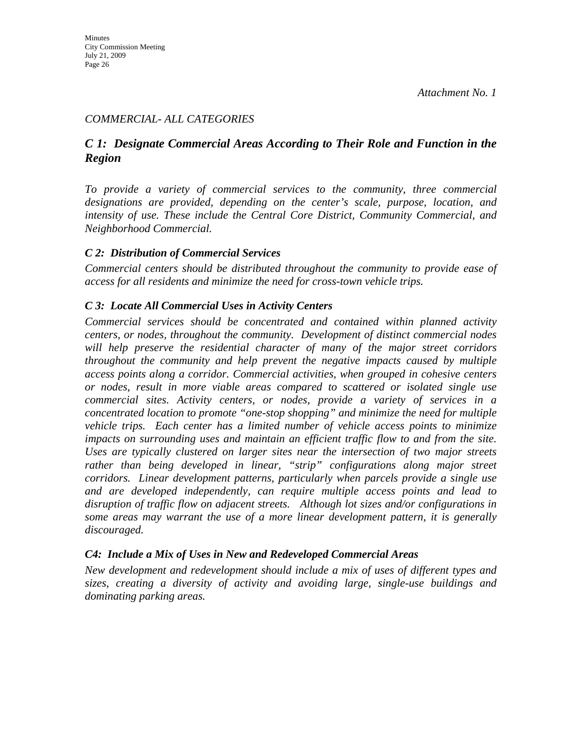### *COMMERCIAL- ALL CATEGORIES*

## *C 1: Designate Commercial Areas According to Their Role and Function in the Region*

*To provide a variety of commercial services to the community, three commercial designations are provided, depending on the center's scale, purpose, location, and intensity of use. These include the Central Core District, Community Commercial, and Neighborhood Commercial.* 

#### *C 2: Distribution of Commercial Services*

*Commercial centers should be distributed throughout the community to provide ease of access for all residents and minimize the need for cross-town vehicle trips.* 

### *C 3: Locate All Commercial Uses in Activity Centers*

*Commercial services should be concentrated and contained within planned activity centers, or nodes, throughout the community. Development of distinct commercial nodes will help preserve the residential character of many of the major street corridors throughout the community and help prevent the negative impacts caused by multiple access points along a corridor. Commercial activities, when grouped in cohesive centers or nodes, result in more viable areas compared to scattered or isolated single use commercial sites. Activity centers, or nodes, provide a variety of services in a concentrated location to promote "one-stop shopping" and minimize the need for multiple vehicle trips. Each center has a limited number of vehicle access points to minimize*  impacts on surrounding uses and maintain an efficient traffic flow to and from the site. *Uses are typically clustered on larger sites near the intersection of two major streets*  rather than being developed in linear, "strip" configurations along major street *corridors. Linear development patterns, particularly when parcels provide a single use and are developed independently, can require multiple access points and lead to disruption of traffic flow on adjacent streets. Although lot sizes and/or configurations in some areas may warrant the use of a more linear development pattern, it is generally discouraged.* 

#### *C4: Include a Mix of Uses in New and Redeveloped Commercial Areas*

*New development and redevelopment should include a mix of uses of different types and sizes, creating a diversity of activity and avoiding large, single-use buildings and dominating parking areas.*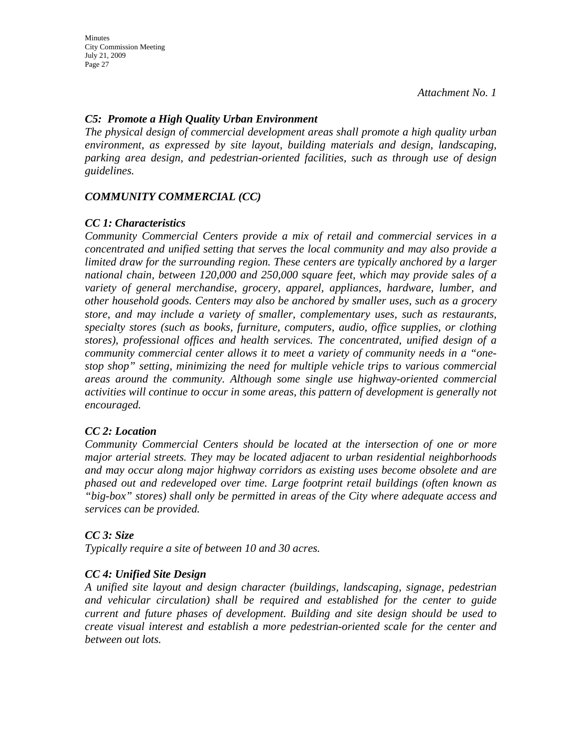Minutes City Commission Meeting July 21, 2009 Page 27

*Attachment No. 1*

#### *C5: Promote a High Quality Urban Environment*

*The physical design of commercial development areas shall promote a high quality urban environment, as expressed by site layout, building materials and design, landscaping, parking area design, and pedestrian-oriented facilities, such as through use of design guidelines.* 

#### *COMMUNITY COMMERCIAL (CC)*

#### *CC 1: Characteristics*

*Community Commercial Centers provide a mix of retail and commercial services in a concentrated and unified setting that serves the local community and may also provide a limited draw for the surrounding region. These centers are typically anchored by a larger national chain, between 120,000 and 250,000 square feet, which may provide sales of a variety of general merchandise, grocery, apparel, appliances, hardware, lumber, and other household goods. Centers may also be anchored by smaller uses, such as a grocery store, and may include a variety of smaller, complementary uses, such as restaurants, specialty stores (such as books, furniture, computers, audio, office supplies, or clothing stores), professional offices and health services. The concentrated, unified design of a community commercial center allows it to meet a variety of community needs in a "onestop shop" setting, minimizing the need for multiple vehicle trips to various commercial areas around the community. Although some single use highway-oriented commercial activities will continue to occur in some areas, this pattern of development is generally not encouraged.* 

#### *CC 2: Location*

*Community Commercial Centers should be located at the intersection of one or more major arterial streets. They may be located adjacent to urban residential neighborhoods and may occur along major highway corridors as existing uses become obsolete and are phased out and redeveloped over time. Large footprint retail buildings (often known as "big-box" stores) shall only be permitted in areas of the City where adequate access and services can be provided.* 

#### *CC 3: Size*

*Typically require a site of between 10 and 30 acres.* 

#### *CC 4: Unified Site Design*

*A unified site layout and design character (buildings, landscaping, signage, pedestrian and vehicular circulation) shall be required and established for the center to guide current and future phases of development. Building and site design should be used to create visual interest and establish a more pedestrian-oriented scale for the center and between out lots.*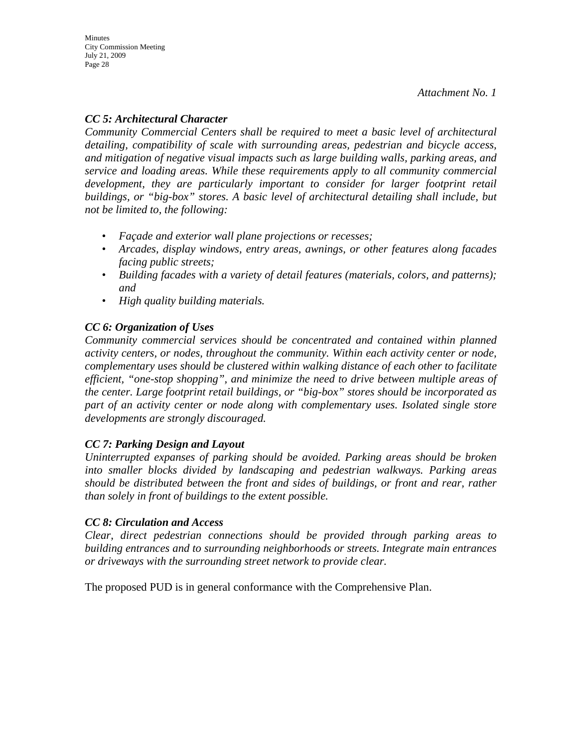### *CC 5: Architectural Character*

*Community Commercial Centers shall be required to meet a basic level of architectural detailing, compatibility of scale with surrounding areas, pedestrian and bicycle access, and mitigation of negative visual impacts such as large building walls, parking areas, and service and loading areas. While these requirements apply to all community commercial*  development, they are particularly important to consider for larger footprint retail *buildings, or "big-box" stores. A basic level of architectural detailing shall include, but not be limited to, the following:* 

- *Façade and exterior wall plane projections or recesses;*
- *Arcades, display windows, entry areas, awnings, or other features along facades facing public streets;*
- *Building facades with a variety of detail features (materials, colors, and patterns); and*
- *High quality building materials.*

### *CC 6: Organization of Uses*

*Community commercial services should be concentrated and contained within planned activity centers, or nodes, throughout the community. Within each activity center or node, complementary uses should be clustered within walking distance of each other to facilitate efficient, "one-stop shopping", and minimize the need to drive between multiple areas of the center. Large footprint retail buildings, or "big-box" stores should be incorporated as part of an activity center or node along with complementary uses. Isolated single store developments are strongly discouraged.* 

#### *CC 7: Parking Design and Layout*

*Uninterrupted expanses of parking should be avoided. Parking areas should be broken into smaller blocks divided by landscaping and pedestrian walkways. Parking areas should be distributed between the front and sides of buildings, or front and rear, rather than solely in front of buildings to the extent possible.* 

#### *CC 8: Circulation and Access*

*Clear, direct pedestrian connections should be provided through parking areas to building entrances and to surrounding neighborhoods or streets. Integrate main entrances or driveways with the surrounding street network to provide clear.* 

The proposed PUD is in general conformance with the Comprehensive Plan.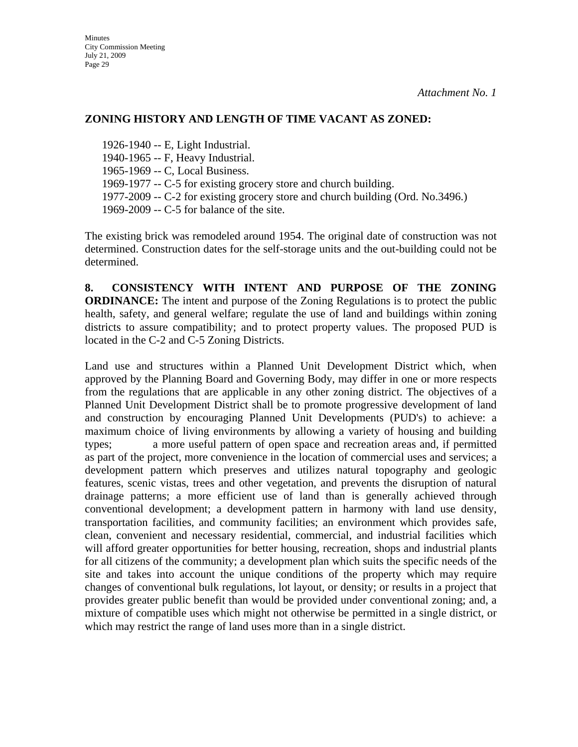#### **ZONING HISTORY AND LENGTH OF TIME VACANT AS ZONED:**

1926-1940 -- E, Light Industrial. 1940-1965 -- F, Heavy Industrial. 1965-1969 -- C, Local Business. 1969-1977 -- C-5 for existing grocery store and church building. 1977-2009 -- C-2 for existing grocery store and church building (Ord. No.3496.) 1969-2009 -- C-5 for balance of the site.

The existing brick was remodeled around 1954. The original date of construction was not determined. Construction dates for the self-storage units and the out-building could not be determined.

**8. CONSISTENCY WITH INTENT AND PURPOSE OF THE ZONING ORDINANCE:** The intent and purpose of the Zoning Regulations is to protect the public health, safety, and general welfare; regulate the use of land and buildings within zoning districts to assure compatibility; and to protect property values. The proposed PUD is located in the C-2 and C-5 Zoning Districts.

Land use and structures within a Planned Unit Development District which, when approved by the Planning Board and Governing Body, may differ in one or more respects from the regulations that are applicable in any other zoning district. The objectives of a Planned Unit Development District shall be to promote progressive development of land and construction by encouraging Planned Unit Developments (PUD's) to achieve: a maximum choice of living environments by allowing a variety of housing and building types; a more useful pattern of open space and recreation areas and, if permitted as part of the project, more convenience in the location of commercial uses and services; a development pattern which preserves and utilizes natural topography and geologic features, scenic vistas, trees and other vegetation, and prevents the disruption of natural drainage patterns; a more efficient use of land than is generally achieved through conventional development; a development pattern in harmony with land use density, transportation facilities, and community facilities; an environment which provides safe, clean, convenient and necessary residential, commercial, and industrial facilities which will afford greater opportunities for better housing, recreation, shops and industrial plants for all citizens of the community; a development plan which suits the specific needs of the site and takes into account the unique conditions of the property which may require changes of conventional bulk regulations, lot layout, or density; or results in a project that provides greater public benefit than would be provided under conventional zoning; and, a mixture of compatible uses which might not otherwise be permitted in a single district, or which may restrict the range of land uses more than in a single district.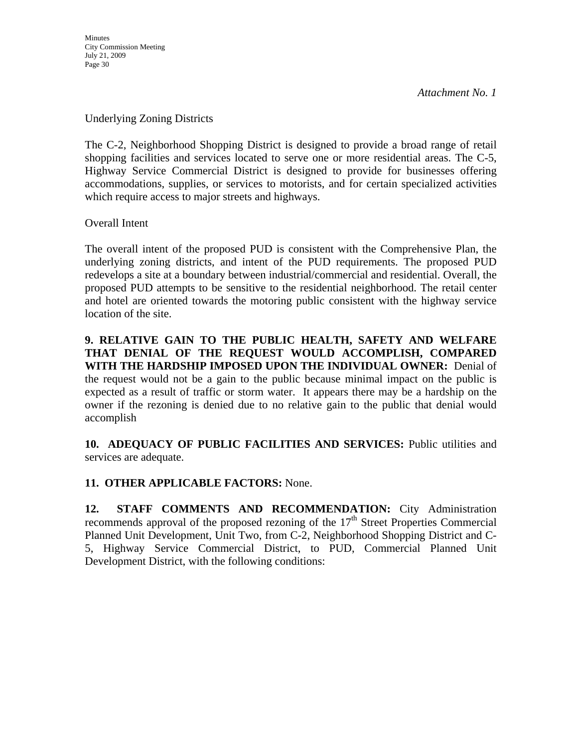#### Underlying Zoning Districts

The C-2, Neighborhood Shopping District is designed to provide a broad range of retail shopping facilities and services located to serve one or more residential areas. The C-5, Highway Service Commercial District is designed to provide for businesses offering accommodations, supplies, or services to motorists, and for certain specialized activities which require access to major streets and highways.

Overall Intent

The overall intent of the proposed PUD is consistent with the Comprehensive Plan, the underlying zoning districts, and intent of the PUD requirements. The proposed PUD redevelops a site at a boundary between industrial/commercial and residential. Overall, the proposed PUD attempts to be sensitive to the residential neighborhood. The retail center and hotel are oriented towards the motoring public consistent with the highway service location of the site.

**9. RELATIVE GAIN TO THE PUBLIC HEALTH, SAFETY AND WELFARE THAT DENIAL OF THE REQUEST WOULD ACCOMPLISH, COMPARED WITH THE HARDSHIP IMPOSED UPON THE INDIVIDUAL OWNER:** Denial of the request would not be a gain to the public because minimal impact on the public is expected as a result of traffic or storm water. It appears there may be a hardship on the owner if the rezoning is denied due to no relative gain to the public that denial would accomplish

**10. ADEQUACY OF PUBLIC FACILITIES AND SERVICES:** Public utilities and services are adequate.

## **11. OTHER APPLICABLE FACTORS:** None.

**12. STAFF COMMENTS AND RECOMMENDATION:** City Administration recommends approval of the proposed rezoning of the  $17<sup>th</sup>$  Street Properties Commercial Planned Unit Development, Unit Two, from C-2, Neighborhood Shopping District and C-5, Highway Service Commercial District, to PUD, Commercial Planned Unit Development District, with the following conditions: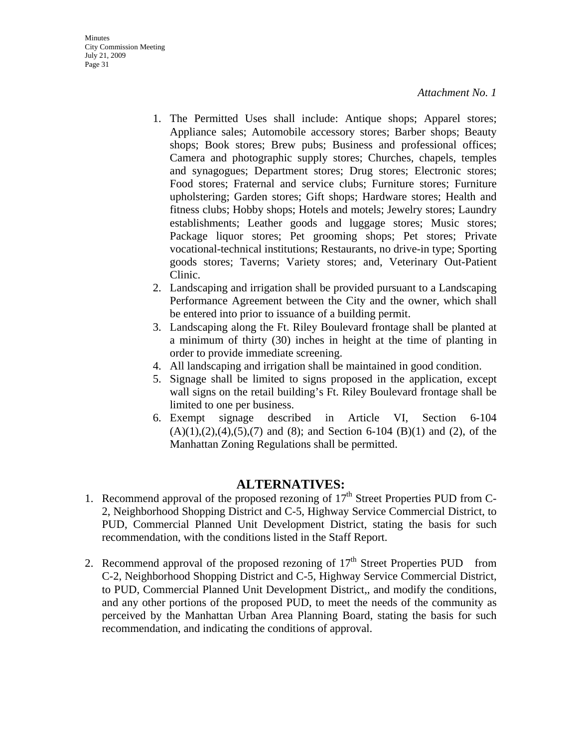- 1. The Permitted Uses shall include: Antique shops; Apparel stores; Appliance sales; Automobile accessory stores; Barber shops; Beauty shops; Book stores; Brew pubs; Business and professional offices; Camera and photographic supply stores; Churches, chapels, temples and synagogues; Department stores; Drug stores; Electronic stores; Food stores; Fraternal and service clubs; Furniture stores; Furniture upholstering; Garden stores; Gift shops; Hardware stores; Health and fitness clubs; Hobby shops; Hotels and motels; Jewelry stores; Laundry establishments; Leather goods and luggage stores; Music stores; Package liquor stores; Pet grooming shops; Pet stores; Private vocational-technical institutions; Restaurants, no drive-in type; Sporting goods stores; Taverns; Variety stores; and, Veterinary Out-Patient Clinic.
- 2. Landscaping and irrigation shall be provided pursuant to a Landscaping Performance Agreement between the City and the owner, which shall be entered into prior to issuance of a building permit.
- 3. Landscaping along the Ft. Riley Boulevard frontage shall be planted at a minimum of thirty (30) inches in height at the time of planting in order to provide immediate screening.
- 4. All landscaping and irrigation shall be maintained in good condition.
- 5. Signage shall be limited to signs proposed in the application, except wall signs on the retail building's Ft. Riley Boulevard frontage shall be limited to one per business.
- 6. Exempt signage described in Article VI, Section 6-104  $(A)(1),(2),(4),(5),(7)$  and  $(8)$ ; and Section 6-104  $(B)(1)$  and  $(2)$ , of the Manhattan Zoning Regulations shall be permitted.

## **ALTERNATIVES:**

- 1. Recommend approval of the proposed rezoning of  $17<sup>th</sup>$  Street Properties PUD from C-2, Neighborhood Shopping District and C-5, Highway Service Commercial District, to PUD, Commercial Planned Unit Development District, stating the basis for such recommendation, with the conditions listed in the Staff Report.
- 2. Recommend approval of the proposed rezoning of  $17<sup>th</sup>$  Street Properties PUD from C-2, Neighborhood Shopping District and C-5, Highway Service Commercial District, to PUD, Commercial Planned Unit Development District,, and modify the conditions, and any other portions of the proposed PUD, to meet the needs of the community as perceived by the Manhattan Urban Area Planning Board, stating the basis for such recommendation, and indicating the conditions of approval.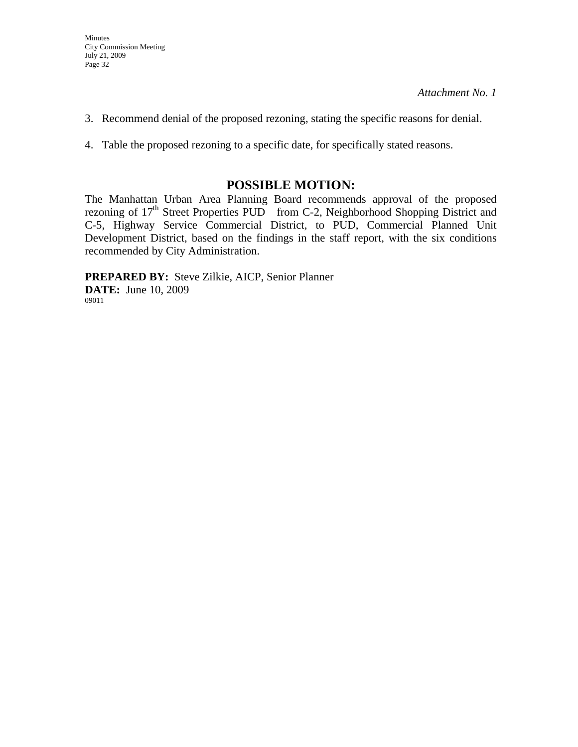- 3. Recommend denial of the proposed rezoning, stating the specific reasons for denial.
- 4. Table the proposed rezoning to a specific date, for specifically stated reasons.

## **POSSIBLE MOTION:**

The Manhattan Urban Area Planning Board recommends approval of the proposed rezoning of 17<sup>th</sup> Street Properties PUD from C-2, Neighborhood Shopping District and C-5, Highway Service Commercial District, to PUD, Commercial Planned Unit Development District, based on the findings in the staff report, with the six conditions recommended by City Administration.

**PREPARED BY:** Steve Zilkie, AICP, Senior Planner **DATE:** June 10, 2009 09011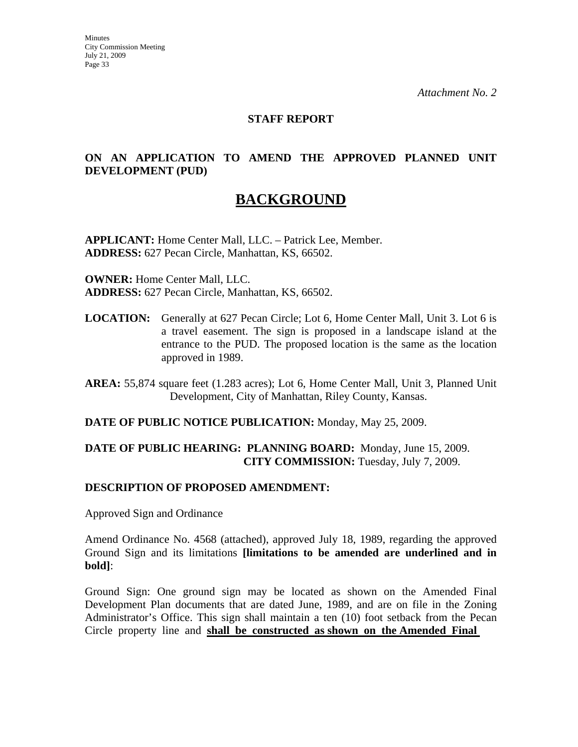#### **STAFF REPORT**

#### **ON AN APPLICATION TO AMEND THE APPROVED PLANNED UNIT DEVELOPMENT (PUD)**

# **BACKGROUND**

**APPLICANT:** Home Center Mall, LLC. – Patrick Lee, Member. **ADDRESS:** 627 Pecan Circle, Manhattan, KS, 66502.

**OWNER:** Home Center Mall, LLC. **ADDRESS:** 627 Pecan Circle, Manhattan, KS, 66502.

**LOCATION:** Generally at 627 Pecan Circle; Lot 6, Home Center Mall, Unit 3. Lot 6 is a travel easement. The sign is proposed in a landscape island at the entrance to the PUD. The proposed location is the same as the location approved in 1989.

**AREA:** 55,874 square feet (1.283 acres); Lot 6, Home Center Mall, Unit 3, Planned Unit Development, City of Manhattan, Riley County, Kansas.

#### **DATE OF PUBLIC NOTICE PUBLICATION:** Monday, May 25, 2009.

#### **DATE OF PUBLIC HEARING: PLANNING BOARD:** Monday, June 15, 2009. **CITY COMMISSION:** Tuesday, July 7, 2009.

#### **DESCRIPTION OF PROPOSED AMENDMENT:**

Approved Sign and Ordinance

Amend Ordinance No. 4568 (attached), approved July 18, 1989, regarding the approved Ground Sign and its limitations **[limitations to be amended are underlined and in bold]**:

Ground Sign: One ground sign may be located as shown on the Amended Final Development Plan documents that are dated June, 1989, and are on file in the Zoning Administrator's Office. This sign shall maintain a ten (10) foot setback from the Pecan Circle property line and **shall be constructed as shown on the Amended Final**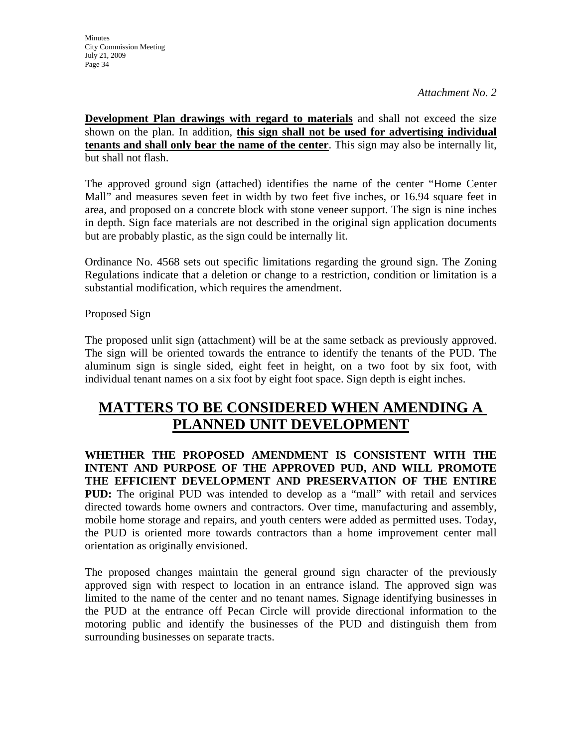**Development Plan drawings with regard to materials** and shall not exceed the size shown on the plan. In addition, **this sign shall not be used for advertising individual tenants and shall only bear the name of the center**. This sign may also be internally lit, but shall not flash.

The approved ground sign (attached) identifies the name of the center "Home Center Mall" and measures seven feet in width by two feet five inches, or 16.94 square feet in area, and proposed on a concrete block with stone veneer support. The sign is nine inches in depth. Sign face materials are not described in the original sign application documents but are probably plastic, as the sign could be internally lit.

Ordinance No. 4568 sets out specific limitations regarding the ground sign. The Zoning Regulations indicate that a deletion or change to a restriction, condition or limitation is a substantial modification, which requires the amendment.

Proposed Sign

The proposed unlit sign (attachment) will be at the same setback as previously approved. The sign will be oriented towards the entrance to identify the tenants of the PUD. The aluminum sign is single sided, eight feet in height, on a two foot by six foot, with individual tenant names on a six foot by eight foot space. Sign depth is eight inches.

# **MATTERS TO BE CONSIDERED WHEN AMENDING A PLANNED UNIT DEVELOPMENT**

**WHETHER THE PROPOSED AMENDMENT IS CONSISTENT WITH THE INTENT AND PURPOSE OF THE APPROVED PUD, AND WILL PROMOTE THE EFFICIENT DEVELOPMENT AND PRESERVATION OF THE ENTIRE PUD:** The original PUD was intended to develop as a "mall" with retail and services directed towards home owners and contractors. Over time, manufacturing and assembly, mobile home storage and repairs, and youth centers were added as permitted uses. Today, the PUD is oriented more towards contractors than a home improvement center mall orientation as originally envisioned.

The proposed changes maintain the general ground sign character of the previously approved sign with respect to location in an entrance island. The approved sign was limited to the name of the center and no tenant names. Signage identifying businesses in the PUD at the entrance off Pecan Circle will provide directional information to the motoring public and identify the businesses of the PUD and distinguish them from surrounding businesses on separate tracts.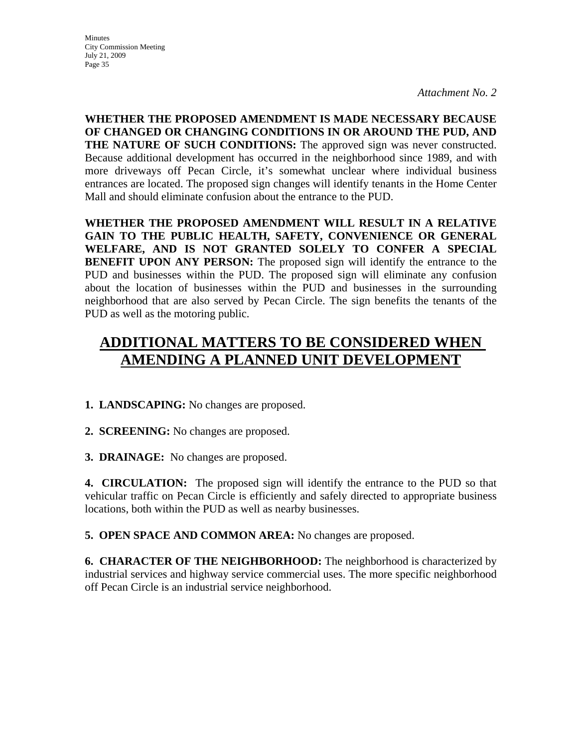**Minutes** City Commission Meeting July 21, 2009 Page 35

*Attachment No. 2* 

**WHETHER THE PROPOSED AMENDMENT IS MADE NECESSARY BECAUSE OF CHANGED OR CHANGING CONDITIONS IN OR AROUND THE PUD, AND THE NATURE OF SUCH CONDITIONS:** The approved sign was never constructed. Because additional development has occurred in the neighborhood since 1989, and with more driveways off Pecan Circle, it's somewhat unclear where individual business entrances are located. The proposed sign changes will identify tenants in the Home Center Mall and should eliminate confusion about the entrance to the PUD.

**WHETHER THE PROPOSED AMENDMENT WILL RESULT IN A RELATIVE GAIN TO THE PUBLIC HEALTH, SAFETY, CONVENIENCE OR GENERAL WELFARE, AND IS NOT GRANTED SOLELY TO CONFER A SPECIAL BENEFIT UPON ANY PERSON:** The proposed sign will identify the entrance to the PUD and businesses within the PUD. The proposed sign will eliminate any confusion about the location of businesses within the PUD and businesses in the surrounding neighborhood that are also served by Pecan Circle. The sign benefits the tenants of the PUD as well as the motoring public.

# **ADDITIONAL MATTERS TO BE CONSIDERED WHEN AMENDING A PLANNED UNIT DEVELOPMENT**

#### **1. LANDSCAPING:** No changes are proposed.

**2. SCREENING:** No changes are proposed.

**3. DRAINAGE:** No changes are proposed.

**4. CIRCULATION:** The proposed sign will identify the entrance to the PUD so that vehicular traffic on Pecan Circle is efficiently and safely directed to appropriate business locations, both within the PUD as well as nearby businesses.

**5. OPEN SPACE AND COMMON AREA:** No changes are proposed.

**6. CHARACTER OF THE NEIGHBORHOOD:** The neighborhood is characterized by industrial services and highway service commercial uses. The more specific neighborhood off Pecan Circle is an industrial service neighborhood.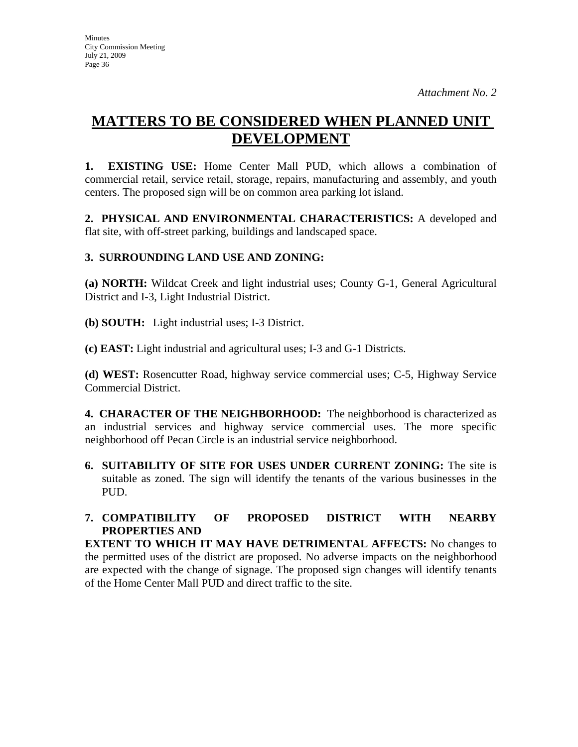# **MATTERS TO BE CONSIDERED WHEN PLANNED UNIT DEVELOPMENT**

**1. EXISTING USE:** Home Center Mall PUD, which allows a combination of commercial retail, service retail, storage, repairs, manufacturing and assembly, and youth centers. The proposed sign will be on common area parking lot island.

**2. PHYSICAL AND ENVIRONMENTAL CHARACTERISTICS:** A developed and flat site, with off-street parking, buildings and landscaped space.

## **3. SURROUNDING LAND USE AND ZONING:**

**(a) NORTH:** Wildcat Creek and light industrial uses; County G-1, General Agricultural District and I-3, Light Industrial District.

**(b) SOUTH:** Light industrial uses; I-3 District.

**(c) EAST:** Light industrial and agricultural uses; I-3 and G-1 Districts.

**(d) WEST:** Rosencutter Road, highway service commercial uses; C-5, Highway Service Commercial District.

**4. CHARACTER OF THE NEIGHBORHOOD:** The neighborhood is characterized as an industrial services and highway service commercial uses. The more specific neighborhood off Pecan Circle is an industrial service neighborhood.

**6. SUITABILITY OF SITE FOR USES UNDER CURRENT ZONING:** The site is suitable as zoned. The sign will identify the tenants of the various businesses in the PUD.

## **7. COMPATIBILITY OF PROPOSED DISTRICT WITH NEARBY PROPERTIES AND**

**EXTENT TO WHICH IT MAY HAVE DETRIMENTAL AFFECTS:** No changes to the permitted uses of the district are proposed. No adverse impacts on the neighborhood are expected with the change of signage. The proposed sign changes will identify tenants of the Home Center Mall PUD and direct traffic to the site.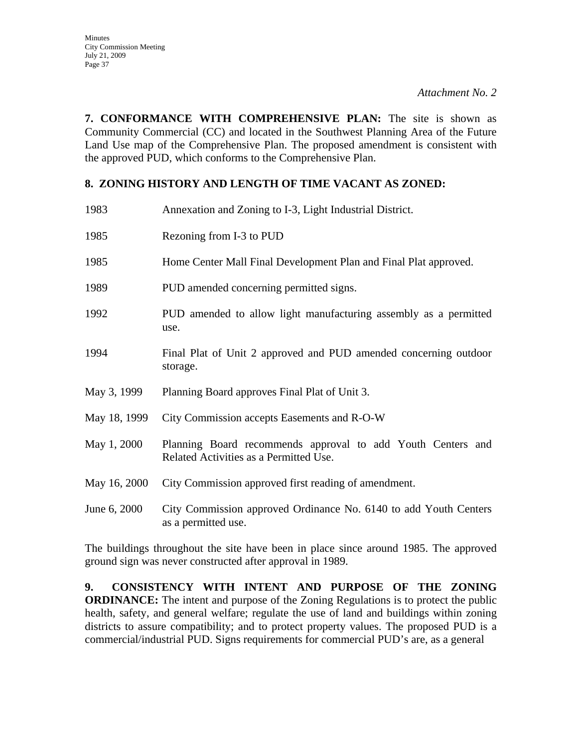**7. CONFORMANCE WITH COMPREHENSIVE PLAN:** The site is shown as Community Commercial (CC) and located in the Southwest Planning Area of the Future Land Use map of the Comprehensive Plan. The proposed amendment is consistent with the approved PUD, which conforms to the Comprehensive Plan.

#### **8. ZONING HISTORY AND LENGTH OF TIME VACANT AS ZONED:**

| 1983         | Annexation and Zoning to I-3, Light Industrial District.                                              |
|--------------|-------------------------------------------------------------------------------------------------------|
| 1985         | Rezoning from I-3 to PUD                                                                              |
| 1985         | Home Center Mall Final Development Plan and Final Plat approved.                                      |
| 1989         | PUD amended concerning permitted signs.                                                               |
| 1992         | PUD amended to allow light manufacturing assembly as a permitted<br>use.                              |
| 1994         | Final Plat of Unit 2 approved and PUD amended concerning outdoor<br>storage.                          |
| May 3, 1999  | Planning Board approves Final Plat of Unit 3.                                                         |
| May 18, 1999 | City Commission accepts Easements and R-O-W                                                           |
| May 1, 2000  | Planning Board recommends approval to add Youth Centers and<br>Related Activities as a Permitted Use. |
| May 16, 2000 | City Commission approved first reading of amendment.                                                  |
| June 6, 2000 | City Commission approved Ordinance No. 6140 to add Youth Centers<br>as a permitted use.               |

The buildings throughout the site have been in place since around 1985. The approved ground sign was never constructed after approval in 1989.

**9. CONSISTENCY WITH INTENT AND PURPOSE OF THE ZONING ORDINANCE:** The intent and purpose of the Zoning Regulations is to protect the public health, safety, and general welfare; regulate the use of land and buildings within zoning districts to assure compatibility; and to protect property values. The proposed PUD is a commercial/industrial PUD. Signs requirements for commercial PUD's are, as a general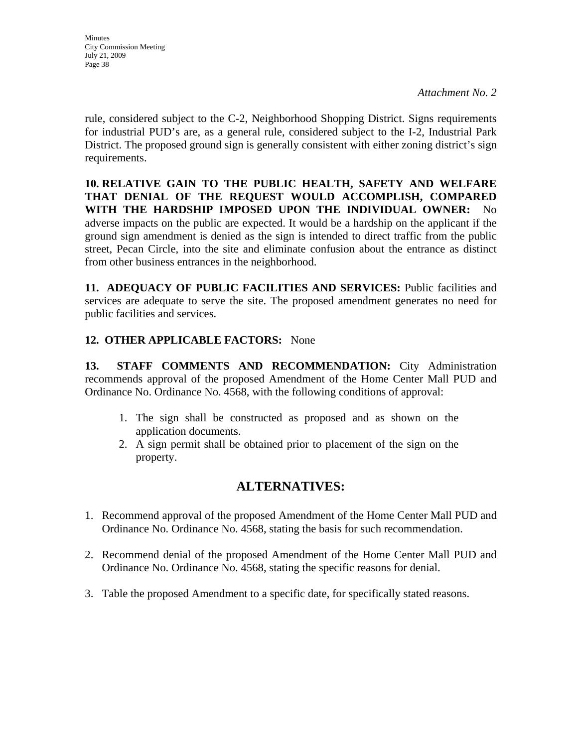rule, considered subject to the C-2, Neighborhood Shopping District. Signs requirements for industrial PUD's are, as a general rule, considered subject to the I-2, Industrial Park District. The proposed ground sign is generally consistent with either zoning district's sign requirements.

**10. RELATIVE GAIN TO THE PUBLIC HEALTH, SAFETY AND WELFARE THAT DENIAL OF THE REQUEST WOULD ACCOMPLISH, COMPARED WITH THE HARDSHIP IMPOSED UPON THE INDIVIDUAL OWNER:** No adverse impacts on the public are expected. It would be a hardship on the applicant if the ground sign amendment is denied as the sign is intended to direct traffic from the public street, Pecan Circle, into the site and eliminate confusion about the entrance as distinct from other business entrances in the neighborhood.

**11. ADEQUACY OF PUBLIC FACILITIES AND SERVICES:** Public facilities and services are adequate to serve the site. The proposed amendment generates no need for public facilities and services.

## **12. OTHER APPLICABLE FACTORS:** None

**13. STAFF COMMENTS AND RECOMMENDATION:** City Administration recommends approval of the proposed Amendment of the Home Center Mall PUD and Ordinance No. Ordinance No. 4568, with the following conditions of approval:

- 1. The sign shall be constructed as proposed and as shown on the application documents.
- 2. A sign permit shall be obtained prior to placement of the sign on the property.

## **ALTERNATIVES:**

- 1. Recommend approval of the proposed Amendment of the Home Center Mall PUD and Ordinance No. Ordinance No. 4568, stating the basis for such recommendation.
- 2. Recommend denial of the proposed Amendment of the Home Center Mall PUD and Ordinance No. Ordinance No. 4568, stating the specific reasons for denial.
- 3. Table the proposed Amendment to a specific date, for specifically stated reasons.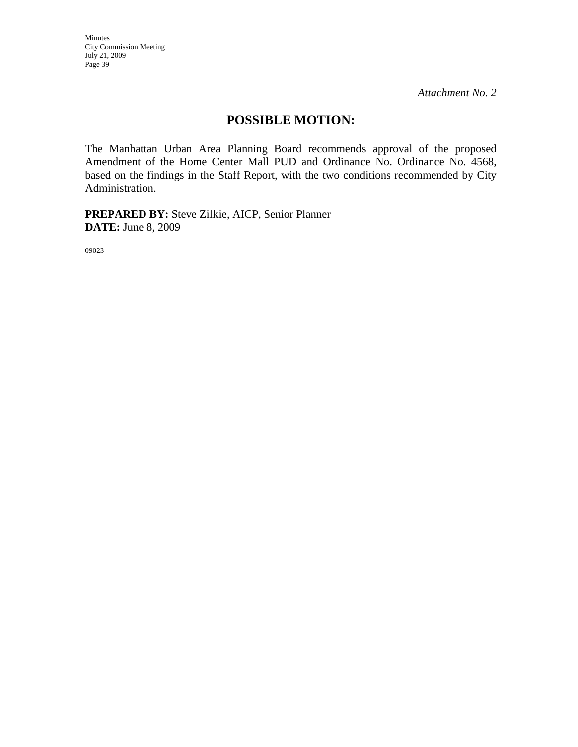Minutes City Commission Meeting July 21, 2009 Page 39

*Attachment No. 2* 

## **POSSIBLE MOTION:**

The Manhattan Urban Area Planning Board recommends approval of the proposed Amendment of the Home Center Mall PUD and Ordinance No. Ordinance No. 4568, based on the findings in the Staff Report, with the two conditions recommended by City Administration.

**PREPARED BY:** Steve Zilkie, AICP, Senior Planner **DATE:** June 8, 2009

09023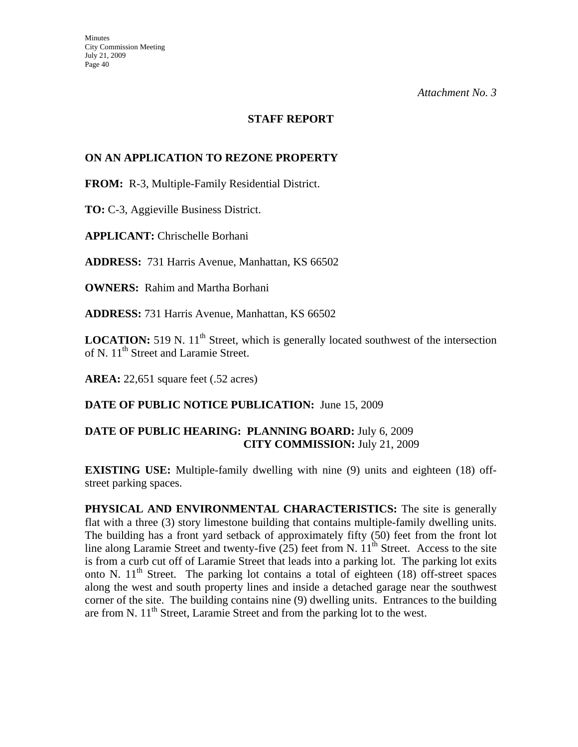#### **STAFF REPORT**

#### **ON AN APPLICATION TO REZONE PROPERTY**

**FROM:** R-3, Multiple-Family Residential District.

**TO:** C-3, Aggieville Business District.

**APPLICANT:** Chrischelle Borhani

**ADDRESS:** 731 Harris Avenue, Manhattan, KS 66502

**OWNERS:** Rahim and Martha Borhani

**ADDRESS:** 731 Harris Avenue, Manhattan, KS 66502

**LOCATION:** 519 N. 11<sup>th</sup> Street, which is generally located southwest of the intersection of N. 11<sup>th</sup> Street and Laramie Street.

**AREA:** 22,651 square feet (.52 acres)

**DATE OF PUBLIC NOTICE PUBLICATION:** June 15, 2009

#### **DATE OF PUBLIC HEARING: PLANNING BOARD:** July 6, 2009 **CITY COMMISSION:** July 21, 2009

**EXISTING USE:** Multiple-family dwelling with nine (9) units and eighteen (18) offstreet parking spaces.

**PHYSICAL AND ENVIRONMENTAL CHARACTERISTICS:** The site is generally flat with a three (3) story limestone building that contains multiple-family dwelling units. The building has a front yard setback of approximately fifty (50) feet from the front lot line along Laramie Street and twenty-five  $(25)$  feet from N.  $11<sup>th</sup>$  Street. Access to the site is from a curb cut off of Laramie Street that leads into a parking lot. The parking lot exits onto N.  $11<sup>th</sup>$  Street. The parking lot contains a total of eighteen (18) off-street spaces along the west and south property lines and inside a detached garage near the southwest corner of the site. The building contains nine (9) dwelling units. Entrances to the building are from N. 11<sup>th</sup> Street, Laramie Street and from the parking lot to the west.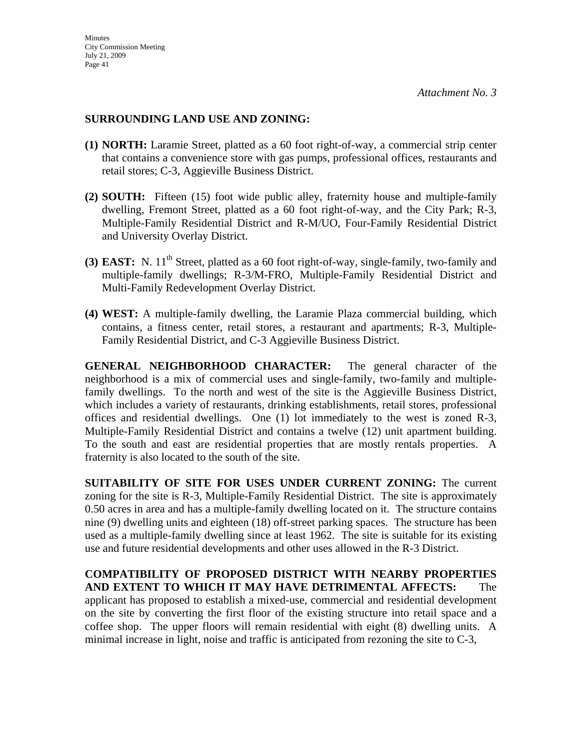#### **SURROUNDING LAND USE AND ZONING:**

- **(1) NORTH:** Laramie Street, platted as a 60 foot right-of-way, a commercial strip center that contains a convenience store with gas pumps, professional offices, restaurants and retail stores; C-3, Aggieville Business District.
- **(2) SOUTH:** Fifteen (15) foot wide public alley, fraternity house and multiple-family dwelling, Fremont Street, platted as a 60 foot right-of-way, and the City Park; R-3, Multiple-Family Residential District and R-M/UO, Four-Family Residential District and University Overlay District.
- **(3) EAST:** N. 11<sup>th</sup> Street, platted as a 60 foot right-of-way, single-family, two-family and multiple-family dwellings; R-3/M-FRO, Multiple-Family Residential District and Multi-Family Redevelopment Overlay District.
- **(4) WEST:** A multiple-family dwelling, the Laramie Plaza commercial building, which contains, a fitness center, retail stores, a restaurant and apartments; R-3, Multiple-Family Residential District, and C-3 Aggieville Business District.

**GENERAL NEIGHBORHOOD CHARACTER:** The general character of the neighborhood is a mix of commercial uses and single-family, two-family and multiplefamily dwellings. To the north and west of the site is the Aggieville Business District, which includes a variety of restaurants, drinking establishments, retail stores, professional offices and residential dwellings. One (1) lot immediately to the west is zoned R-3, Multiple-Family Residential District and contains a twelve (12) unit apartment building. To the south and east are residential properties that are mostly rentals properties. A fraternity is also located to the south of the site.

**SUITABILITY OF SITE FOR USES UNDER CURRENT ZONING:** The current zoning for the site is R-3, Multiple-Family Residential District. The site is approximately 0.50 acres in area and has a multiple-family dwelling located on it. The structure contains nine (9) dwelling units and eighteen (18) off-street parking spaces. The structure has been used as a multiple-family dwelling since at least 1962. The site is suitable for its existing use and future residential developments and other uses allowed in the R-3 District.

**COMPATIBILITY OF PROPOSED DISTRICT WITH NEARBY PROPERTIES AND EXTENT TO WHICH IT MAY HAVE DETRIMENTAL AFFECTS:** The applicant has proposed to establish a mixed-use, commercial and residential development on the site by converting the first floor of the existing structure into retail space and a coffee shop. The upper floors will remain residential with eight (8) dwelling units. A minimal increase in light, noise and traffic is anticipated from rezoning the site to C-3,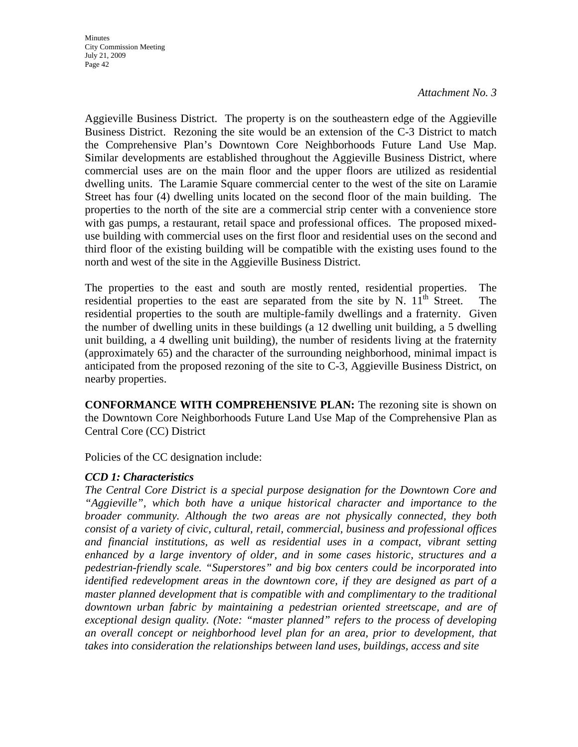Aggieville Business District. The property is on the southeastern edge of the Aggieville Business District. Rezoning the site would be an extension of the C-3 District to match the Comprehensive Plan's Downtown Core Neighborhoods Future Land Use Map. Similar developments are established throughout the Aggieville Business District, where commercial uses are on the main floor and the upper floors are utilized as residential dwelling units. The Laramie Square commercial center to the west of the site on Laramie Street has four (4) dwelling units located on the second floor of the main building. The properties to the north of the site are a commercial strip center with a convenience store with gas pumps, a restaurant, retail space and professional offices. The proposed mixeduse building with commercial uses on the first floor and residential uses on the second and third floor of the existing building will be compatible with the existing uses found to the north and west of the site in the Aggieville Business District.

The properties to the east and south are mostly rented, residential properties. The residential properties to the east are separated from the site by N.  $11<sup>th</sup>$  Street. The residential properties to the south are multiple-family dwellings and a fraternity. Given the number of dwelling units in these buildings (a 12 dwelling unit building, a 5 dwelling unit building, a 4 dwelling unit building), the number of residents living at the fraternity (approximately 65) and the character of the surrounding neighborhood, minimal impact is anticipated from the proposed rezoning of the site to C-3, Aggieville Business District, on nearby properties.

**CONFORMANCE WITH COMPREHENSIVE PLAN:** The rezoning site is shown on the Downtown Core Neighborhoods Future Land Use Map of the Comprehensive Plan as Central Core (CC) District

Policies of the CC designation include:

#### *CCD 1: Characteristics*

*The Central Core District is a special purpose designation for the Downtown Core and "Aggieville", which both have a unique historical character and importance to the broader community. Although the two areas are not physically connected, they both consist of a variety of civic, cultural, retail, commercial, business and professional offices and financial institutions, as well as residential uses in a compact, vibrant setting enhanced by a large inventory of older, and in some cases historic, structures and a pedestrian-friendly scale. "Superstores" and big box centers could be incorporated into identified redevelopment areas in the downtown core, if they are designed as part of a master planned development that is compatible with and complimentary to the traditional*  downtown urban fabric by maintaining a pedestrian oriented streetscape, and are of *exceptional design quality. (Note: "master planned" refers to the process of developing an overall concept or neighborhood level plan for an area, prior to development, that takes into consideration the relationships between land uses, buildings, access and site*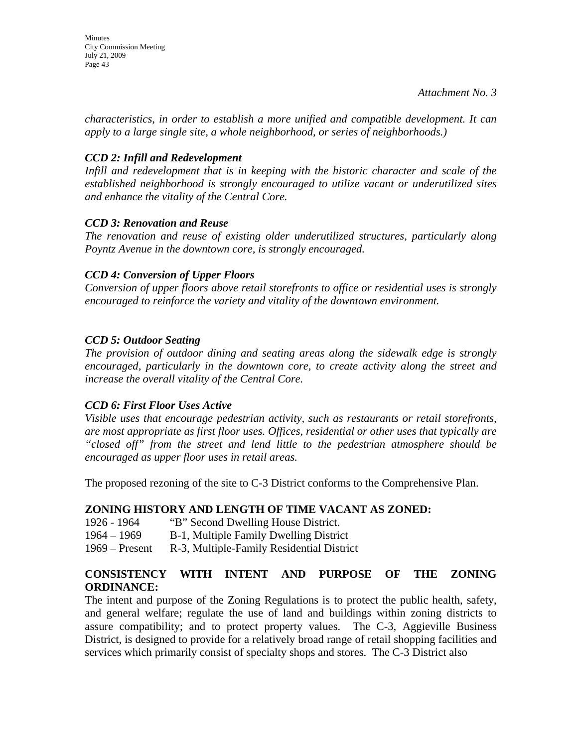Minutes City Commission Meeting July 21, 2009 Page 43

*Attachment No. 3* 

*characteristics, in order to establish a more unified and compatible development. It can apply to a large single site, a whole neighborhood, or series of neighborhoods.)* 

### *CCD 2: Infill and Redevelopment*

*Infill and redevelopment that is in keeping with the historic character and scale of the established neighborhood is strongly encouraged to utilize vacant or underutilized sites and enhance the vitality of the Central Core.* 

#### *CCD 3: Renovation and Reuse*

*The renovation and reuse of existing older underutilized structures, particularly along Poyntz Avenue in the downtown core, is strongly encouraged.* 

### *CCD 4: Conversion of Upper Floors*

*Conversion of upper floors above retail storefronts to office or residential uses is strongly encouraged to reinforce the variety and vitality of the downtown environment.* 

### *CCD 5: Outdoor Seating*

*The provision of outdoor dining and seating areas along the sidewalk edge is strongly encouraged, particularly in the downtown core, to create activity along the street and increase the overall vitality of the Central Core.* 

#### *CCD 6: First Floor Uses Active*

*Visible uses that encourage pedestrian activity, such as restaurants or retail storefronts, are most appropriate as first floor uses. Offices, residential or other uses that typically are "closed off" from the street and lend little to the pedestrian atmosphere should be encouraged as upper floor uses in retail areas.* 

The proposed rezoning of the site to C-3 District conforms to the Comprehensive Plan.

## **ZONING HISTORY AND LENGTH OF TIME VACANT AS ZONED:**

- 1926 1964 "B" Second Dwelling House District.
- 1964 1969 B-1, Multiple Family Dwelling District
- 1969 Present R-3, Multiple-Family Residential District

## **CONSISTENCY WITH INTENT AND PURPOSE OF THE ZONING ORDINANCE:**

The intent and purpose of the Zoning Regulations is to protect the public health, safety, and general welfare; regulate the use of land and buildings within zoning districts to assure compatibility; and to protect property values. The C-3, Aggieville Business District, is designed to provide for a relatively broad range of retail shopping facilities and services which primarily consist of specialty shops and stores. The C-3 District also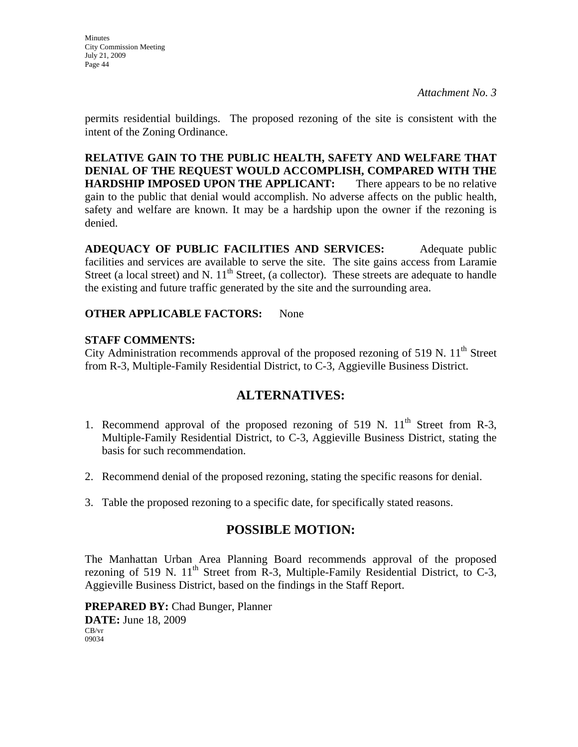**Minutes** City Commission Meeting July 21, 2009 Page 44

permits residential buildings. The proposed rezoning of the site is consistent with the intent of the Zoning Ordinance.

**RELATIVE GAIN TO THE PUBLIC HEALTH, SAFETY AND WELFARE THAT DENIAL OF THE REQUEST WOULD ACCOMPLISH, COMPARED WITH THE HARDSHIP IMPOSED UPON THE APPLICANT:** There appears to be no relative gain to the public that denial would accomplish. No adverse affects on the public health, safety and welfare are known. It may be a hardship upon the owner if the rezoning is denied.

**ADEQUACY OF PUBLIC FACILITIES AND SERVICES:** Adequate public facilities and services are available to serve the site. The site gains access from Laramie Street (a local street) and N.  $11<sup>th</sup>$  Street, (a collector). These streets are adequate to handle the existing and future traffic generated by the site and the surrounding area.

### **OTHER APPLICABLE FACTORS:** None

#### **STAFF COMMENTS:**

City Administration recommends approval of the proposed rezoning of 519 N.  $11<sup>th</sup>$  Street from R-3, Multiple-Family Residential District, to C-3, Aggieville Business District.

## **ALTERNATIVES:**

- 1. Recommend approval of the proposed rezoning of 519 N.  $11<sup>th</sup>$  Street from R-3, Multiple-Family Residential District, to C-3, Aggieville Business District, stating the basis for such recommendation.
- 2. Recommend denial of the proposed rezoning, stating the specific reasons for denial.
- 3. Table the proposed rezoning to a specific date, for specifically stated reasons.

## **POSSIBLE MOTION:**

The Manhattan Urban Area Planning Board recommends approval of the proposed rezoning of 519 N.  $11<sup>th</sup>$  Street from R-3, Multiple-Family Residential District, to C-3, Aggieville Business District, based on the findings in the Staff Report.

**PREPARED BY:** Chad Bunger, Planner **DATE:** June 18, 2009 CB/vr 09034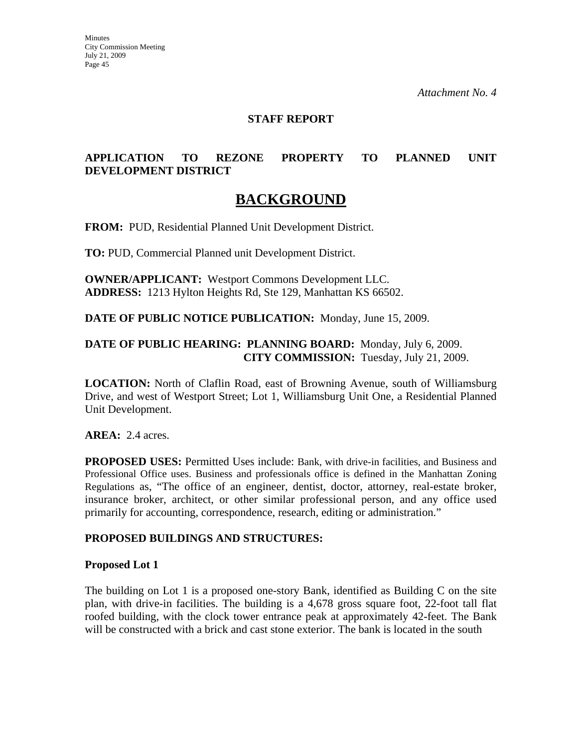#### **STAFF REPORT**

### **APPLICATION TO REZONE PROPERTY TO PLANNED UNIT DEVELOPMENT DISTRICT**

## **BACKGROUND**

**FROM:** PUD, Residential Planned Unit Development District.

**TO:** PUD, Commercial Planned unit Development District.

**OWNER/APPLICANT:** Westport Commons Development LLC. **ADDRESS:** 1213 Hylton Heights Rd, Ste 129, Manhattan KS 66502.

**DATE OF PUBLIC NOTICE PUBLICATION:** Monday, June 15, 2009.

#### **DATE OF PUBLIC HEARING: PLANNING BOARD:** Monday, July 6, 2009. **CITY COMMISSION:** Tuesday, July 21, 2009.

**LOCATION:** North of Claflin Road, east of Browning Avenue, south of Williamsburg Drive, and west of Westport Street; Lot 1, Williamsburg Unit One, a Residential Planned Unit Development.

**AREA:** 2.4 acres.

**PROPOSED USES:** Permitted Uses include: Bank, with drive-in facilities, and Business and Professional Office uses. Business and professionals office is defined in the Manhattan Zoning Regulations as, "The office of an engineer, dentist, doctor, attorney, real-estate broker, insurance broker, architect, or other similar professional person, and any office used primarily for accounting, correspondence, research, editing or administration."

#### **PROPOSED BUILDINGS AND STRUCTURES:**

#### **Proposed Lot 1**

The building on Lot 1 is a proposed one-story Bank, identified as Building C on the site plan, with drive-in facilities. The building is a 4,678 gross square foot, 22-foot tall flat roofed building, with the clock tower entrance peak at approximately 42-feet. The Bank will be constructed with a brick and cast stone exterior. The bank is located in the south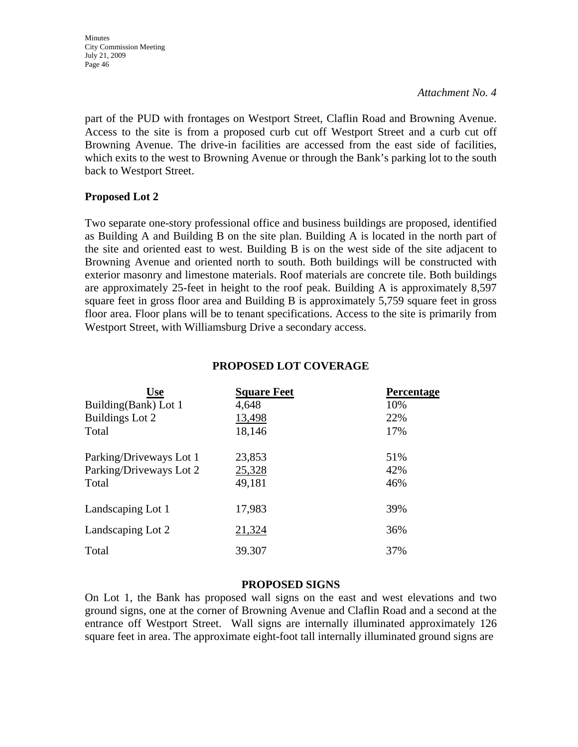**Minutes** City Commission Meeting July 21, 2009 Page 46

*Attachment No. 4*

part of the PUD with frontages on Westport Street, Claflin Road and Browning Avenue. Access to the site is from a proposed curb cut off Westport Street and a curb cut off Browning Avenue. The drive-in facilities are accessed from the east side of facilities, which exits to the west to Browning Avenue or through the Bank's parking lot to the south back to Westport Street.

#### **Proposed Lot 2**

Two separate one-story professional office and business buildings are proposed, identified as Building A and Building B on the site plan. Building A is located in the north part of the site and oriented east to west. Building B is on the west side of the site adjacent to Browning Avenue and oriented north to south. Both buildings will be constructed with exterior masonry and limestone materials. Roof materials are concrete tile. Both buildings are approximately 25-feet in height to the roof peak. Building A is approximately 8,597 square feet in gross floor area and Building B is approximately 5,759 square feet in gross floor area. Floor plans will be to tenant specifications. Access to the site is primarily from Westport Street, with Williamsburg Drive a secondary access.

| Use                     | <b>Square Feet</b> | <b>Percentage</b> |
|-------------------------|--------------------|-------------------|
| Building(Bank) Lot 1    | 4,648              | 10%               |
| Buildings Lot 2         | 13,498             | 22%               |
| Total                   | 18,146             | 17%               |
| Parking/Driveways Lot 1 | 23,853             | 51%               |
| Parking/Driveways Lot 2 | 25,328             | 42%               |
| Total                   | 49,181             | 46%               |
| Landscaping Lot 1       | 17,983             | 39%               |
| Landscaping Lot 2       | 21,324             | 36%               |
| Total                   | 39.307             | 37%               |

#### **PROPOSED LOT COVERAGE**

#### **PROPOSED SIGNS**

On Lot 1, the Bank has proposed wall signs on the east and west elevations and two ground signs, one at the corner of Browning Avenue and Claflin Road and a second at the entrance off Westport Street. Wall signs are internally illuminated approximately 126 square feet in area. The approximate eight-foot tall internally illuminated ground signs are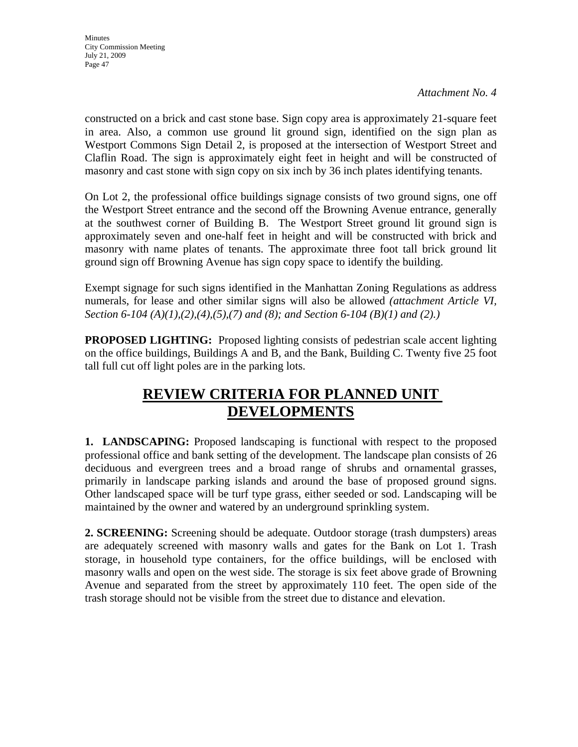**Minutes** City Commission Meeting July 21, 2009 Page 47

*Attachment No. 4*

constructed on a brick and cast stone base. Sign copy area is approximately 21-square feet in area. Also, a common use ground lit ground sign, identified on the sign plan as Westport Commons Sign Detail 2, is proposed at the intersection of Westport Street and Claflin Road. The sign is approximately eight feet in height and will be constructed of masonry and cast stone with sign copy on six inch by 36 inch plates identifying tenants.

On Lot 2, the professional office buildings signage consists of two ground signs, one off the Westport Street entrance and the second off the Browning Avenue entrance, generally at the southwest corner of Building B. The Westport Street ground lit ground sign is approximately seven and one-half feet in height and will be constructed with brick and masonry with name plates of tenants. The approximate three foot tall brick ground lit ground sign off Browning Avenue has sign copy space to identify the building.

Exempt signage for such signs identified in the Manhattan Zoning Regulations as address numerals, for lease and other similar signs will also be allowed *(attachment Article VI, Section 6-104 (A)(1),(2),(4),(5),(7) and (8); and Section 6-104 (B)(1) and (2).)*

**PROPOSED LIGHTING:** Proposed lighting consists of pedestrian scale accent lighting on the office buildings, Buildings A and B, and the Bank, Building C. Twenty five 25 foot tall full cut off light poles are in the parking lots.

# **REVIEW CRITERIA FOR PLANNED UNIT DEVELOPMENTS**

**1. LANDSCAPING:** Proposed landscaping is functional with respect to the proposed professional office and bank setting of the development. The landscape plan consists of 26 deciduous and evergreen trees and a broad range of shrubs and ornamental grasses, primarily in landscape parking islands and around the base of proposed ground signs. Other landscaped space will be turf type grass, either seeded or sod. Landscaping will be maintained by the owner and watered by an underground sprinkling system.

**2. SCREENING:** Screening should be adequate. Outdoor storage (trash dumpsters) areas are adequately screened with masonry walls and gates for the Bank on Lot 1. Trash storage, in household type containers, for the office buildings, will be enclosed with masonry walls and open on the west side. The storage is six feet above grade of Browning Avenue and separated from the street by approximately 110 feet. The open side of the trash storage should not be visible from the street due to distance and elevation.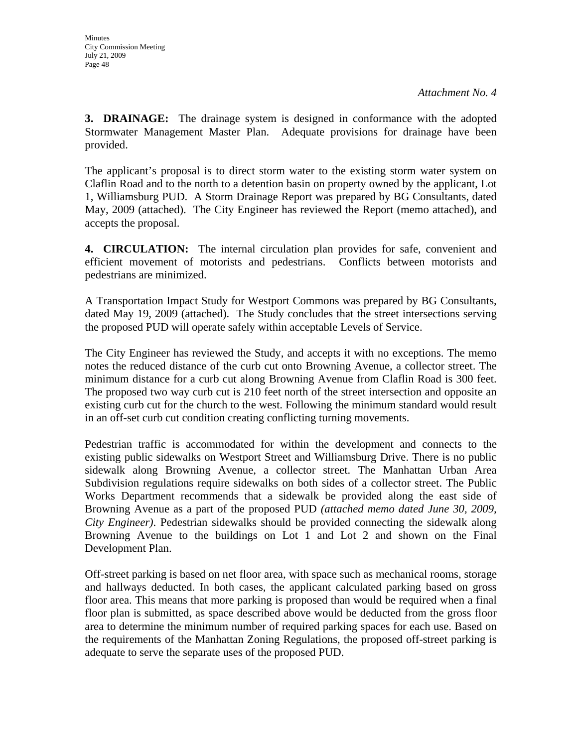**3. DRAINAGE:** The drainage system is designed in conformance with the adopted Stormwater Management Master Plan. Adequate provisions for drainage have been provided.

The applicant's proposal is to direct storm water to the existing storm water system on Claflin Road and to the north to a detention basin on property owned by the applicant, Lot 1, Williamsburg PUD. A Storm Drainage Report was prepared by BG Consultants, dated May, 2009 (attached). The City Engineer has reviewed the Report (memo attached), and accepts the proposal.

**4. CIRCULATION:** The internal circulation plan provides for safe, convenient and efficient movement of motorists and pedestrians. Conflicts between motorists and pedestrians are minimized.

A Transportation Impact Study for Westport Commons was prepared by BG Consultants, dated May 19, 2009 (attached). The Study concludes that the street intersections serving the proposed PUD will operate safely within acceptable Levels of Service.

The City Engineer has reviewed the Study, and accepts it with no exceptions. The memo notes the reduced distance of the curb cut onto Browning Avenue, a collector street. The minimum distance for a curb cut along Browning Avenue from Claflin Road is 300 feet. The proposed two way curb cut is 210 feet north of the street intersection and opposite an existing curb cut for the church to the west. Following the minimum standard would result in an off-set curb cut condition creating conflicting turning movements.

Pedestrian traffic is accommodated for within the development and connects to the existing public sidewalks on Westport Street and Williamsburg Drive. There is no public sidewalk along Browning Avenue, a collector street. The Manhattan Urban Area Subdivision regulations require sidewalks on both sides of a collector street. The Public Works Department recommends that a sidewalk be provided along the east side of Browning Avenue as a part of the proposed PUD *(attached memo dated June 30, 2009, City Engineer)*. Pedestrian sidewalks should be provided connecting the sidewalk along Browning Avenue to the buildings on Lot 1 and Lot 2 and shown on the Final Development Plan.

Off-street parking is based on net floor area, with space such as mechanical rooms, storage and hallways deducted. In both cases, the applicant calculated parking based on gross floor area. This means that more parking is proposed than would be required when a final floor plan is submitted, as space described above would be deducted from the gross floor area to determine the minimum number of required parking spaces for each use. Based on the requirements of the Manhattan Zoning Regulations, the proposed off-street parking is adequate to serve the separate uses of the proposed PUD.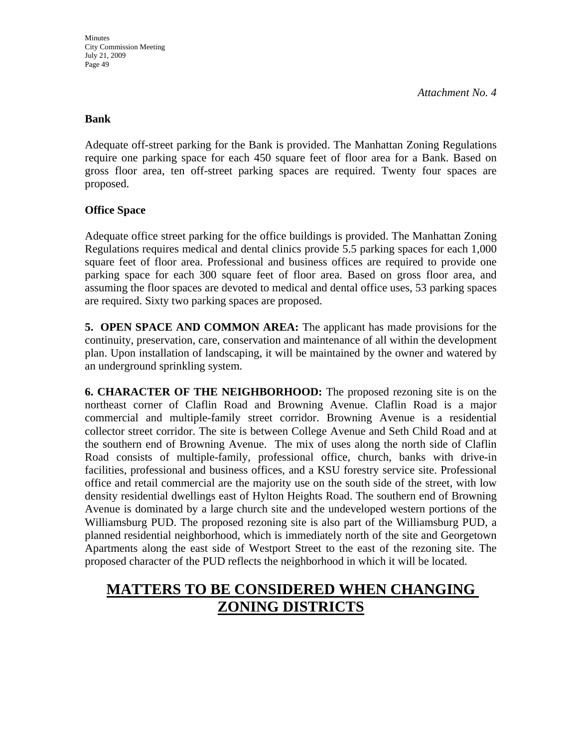#### **Bank**

Adequate off-street parking for the Bank is provided. The Manhattan Zoning Regulations require one parking space for each 450 square feet of floor area for a Bank. Based on gross floor area, ten off-street parking spaces are required. Twenty four spaces are proposed.

#### **Office Space**

Adequate office street parking for the office buildings is provided. The Manhattan Zoning Regulations requires medical and dental clinics provide 5.5 parking spaces for each 1,000 square feet of floor area. Professional and business offices are required to provide one parking space for each 300 square feet of floor area. Based on gross floor area, and assuming the floor spaces are devoted to medical and dental office uses, 53 parking spaces are required. Sixty two parking spaces are proposed.

**5. OPEN SPACE AND COMMON AREA:** The applicant has made provisions for the continuity, preservation, care, conservation and maintenance of all within the development plan. Upon installation of landscaping, it will be maintained by the owner and watered by an underground sprinkling system.

**6. CHARACTER OF THE NEIGHBORHOOD:** The proposed rezoning site is on the northeast corner of Claflin Road and Browning Avenue. Claflin Road is a major commercial and multiple-family street corridor. Browning Avenue is a residential collector street corridor. The site is between College Avenue and Seth Child Road and at the southern end of Browning Avenue. The mix of uses along the north side of Claflin Road consists of multiple-family, professional office, church, banks with drive-in facilities, professional and business offices, and a KSU forestry service site. Professional office and retail commercial are the majority use on the south side of the street, with low density residential dwellings east of Hylton Heights Road. The southern end of Browning Avenue is dominated by a large church site and the undeveloped western portions of the Williamsburg PUD. The proposed rezoning site is also part of the Williamsburg PUD, a planned residential neighborhood, which is immediately north of the site and Georgetown Apartments along the east side of Westport Street to the east of the rezoning site. The proposed character of the PUD reflects the neighborhood in which it will be located.

# **MATTERS TO BE CONSIDERED WHEN CHANGING ZONING DISTRICTS**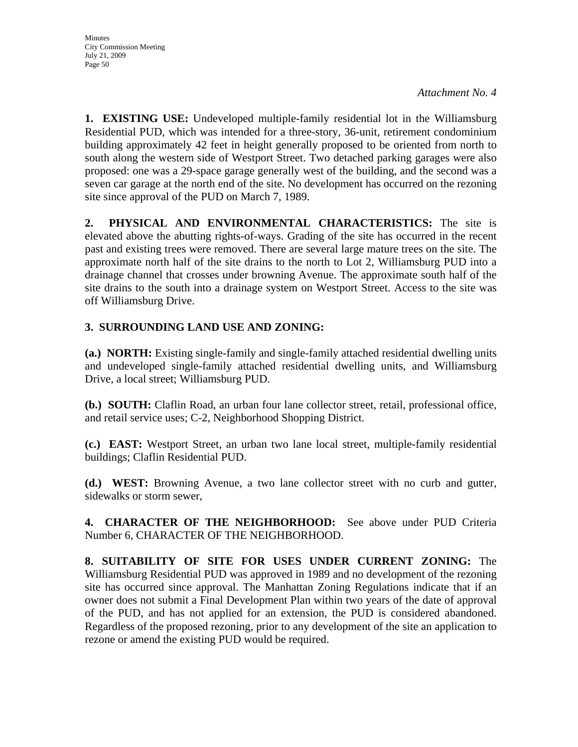**1. EXISTING USE:** Undeveloped multiple-family residential lot in the Williamsburg Residential PUD, which was intended for a three-story, 36-unit, retirement condominium building approximately 42 feet in height generally proposed to be oriented from north to south along the western side of Westport Street. Two detached parking garages were also proposed: one was a 29-space garage generally west of the building, and the second was a seven car garage at the north end of the site. No development has occurred on the rezoning site since approval of the PUD on March 7, 1989.

**2. PHYSICAL AND ENVIRONMENTAL CHARACTERISTICS:** The site is elevated above the abutting rights-of-ways. Grading of the site has occurred in the recent past and existing trees were removed. There are several large mature trees on the site. The approximate north half of the site drains to the north to Lot 2, Williamsburg PUD into a drainage channel that crosses under browning Avenue. The approximate south half of the site drains to the south into a drainage system on Westport Street. Access to the site was off Williamsburg Drive.

## **3. SURROUNDING LAND USE AND ZONING:**

**(a.) NORTH:** Existing single-family and single-family attached residential dwelling units and undeveloped single-family attached residential dwelling units, and Williamsburg Drive, a local street; Williamsburg PUD.

**(b.) SOUTH:** Claflin Road, an urban four lane collector street, retail, professional office, and retail service uses; C-2, Neighborhood Shopping District.

**(c.) EAST:** Westport Street, an urban two lane local street, multiple-family residential buildings; Claflin Residential PUD.

**(d.) WEST:** Browning Avenue, a two lane collector street with no curb and gutter, sidewalks or storm sewer,

**4. CHARACTER OF THE NEIGHBORHOOD:** See above under PUD Criteria Number 6, CHARACTER OF THE NEIGHBORHOOD.

**8. SUITABILITY OF SITE FOR USES UNDER CURRENT ZONING:** The Williamsburg Residential PUD was approved in 1989 and no development of the rezoning site has occurred since approval. The Manhattan Zoning Regulations indicate that if an owner does not submit a Final Development Plan within two years of the date of approval of the PUD, and has not applied for an extension, the PUD is considered abandoned. Regardless of the proposed rezoning, prior to any development of the site an application to rezone or amend the existing PUD would be required.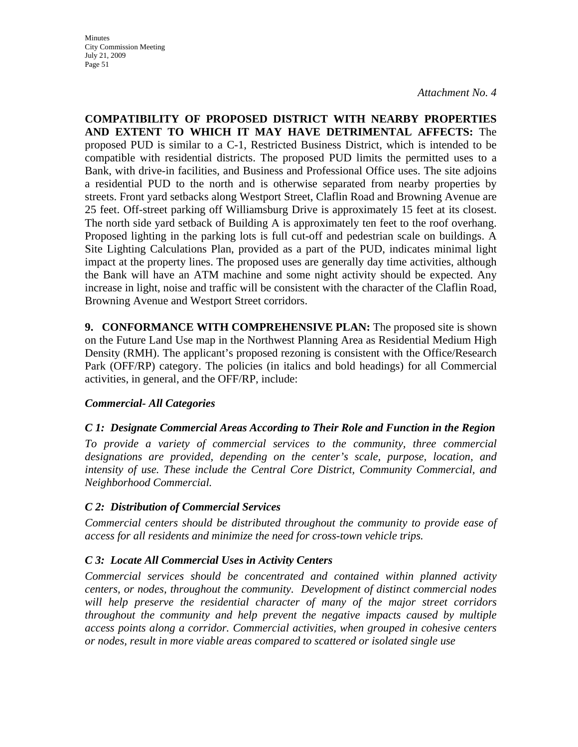Minutes City Commission Meeting July 21, 2009 Page 51

*Attachment No. 4*

**COMPATIBILITY OF PROPOSED DISTRICT WITH NEARBY PROPERTIES AND EXTENT TO WHICH IT MAY HAVE DETRIMENTAL AFFECTS:** The proposed PUD is similar to a C-1, Restricted Business District, which is intended to be compatible with residential districts. The proposed PUD limits the permitted uses to a Bank, with drive-in facilities, and Business and Professional Office uses. The site adjoins a residential PUD to the north and is otherwise separated from nearby properties by streets. Front yard setbacks along Westport Street, Claflin Road and Browning Avenue are 25 feet. Off-street parking off Williamsburg Drive is approximately 15 feet at its closest. The north side yard setback of Building A is approximately ten feet to the roof overhang. Proposed lighting in the parking lots is full cut-off and pedestrian scale on buildings. A Site Lighting Calculations Plan, provided as a part of the PUD, indicates minimal light impact at the property lines. The proposed uses are generally day time activities, although the Bank will have an ATM machine and some night activity should be expected. Any increase in light, noise and traffic will be consistent with the character of the Claflin Road, Browning Avenue and Westport Street corridors.

**9. CONFORMANCE WITH COMPREHENSIVE PLAN:** The proposed site is shown on the Future Land Use map in the Northwest Planning Area as Residential Medium High Density (RMH). The applicant's proposed rezoning is consistent with the Office/Research Park (OFF/RP) category. The policies (in italics and bold headings) for all Commercial activities, in general, and the OFF/RP, include:

#### *Commercial- All Categories*

#### *C 1: Designate Commercial Areas According to Their Role and Function in the Region*

*To provide a variety of commercial services to the community, three commercial designations are provided, depending on the center's scale, purpose, location, and intensity of use. These include the Central Core District, Community Commercial, and Neighborhood Commercial.* 

#### *C 2: Distribution of Commercial Services*

*Commercial centers should be distributed throughout the community to provide ease of access for all residents and minimize the need for cross-town vehicle trips.* 

#### *C 3: Locate All Commercial Uses in Activity Centers*

*Commercial services should be concentrated and contained within planned activity centers, or nodes, throughout the community. Development of distinct commercial nodes will help preserve the residential character of many of the major street corridors throughout the community and help prevent the negative impacts caused by multiple access points along a corridor. Commercial activities, when grouped in cohesive centers or nodes, result in more viable areas compared to scattered or isolated single use*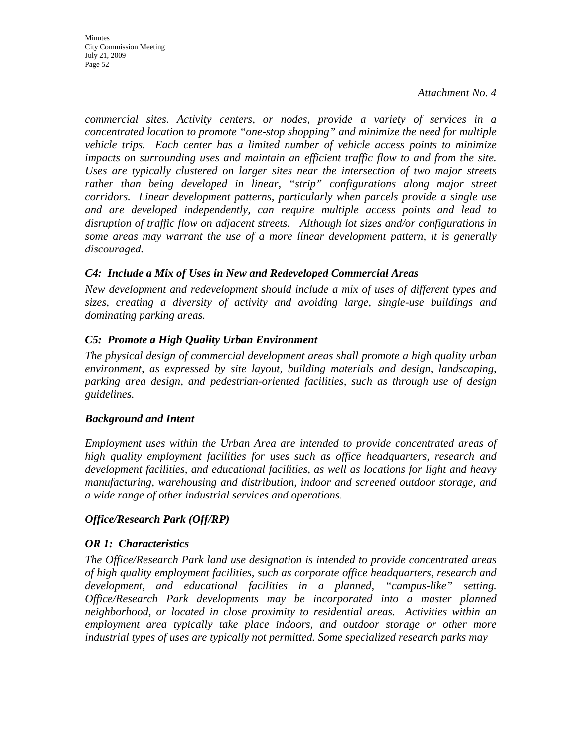**Minutes** City Commission Meeting July 21, 2009 Page 52

*Attachment No. 4*

*commercial sites. Activity centers, or nodes, provide a variety of services in a concentrated location to promote "one-stop shopping" and minimize the need for multiple vehicle trips. Each center has a limited number of vehicle access points to minimize impacts on surrounding uses and maintain an efficient traffic flow to and from the site. Uses are typically clustered on larger sites near the intersection of two major streets rather than being developed in linear, "strip" configurations along major street corridors. Linear development patterns, particularly when parcels provide a single use and are developed independently, can require multiple access points and lead to disruption of traffic flow on adjacent streets. Although lot sizes and/or configurations in some areas may warrant the use of a more linear development pattern, it is generally discouraged.* 

#### *C4: Include a Mix of Uses in New and Redeveloped Commercial Areas*

*New development and redevelopment should include a mix of uses of different types and sizes, creating a diversity of activity and avoiding large, single-use buildings and dominating parking areas.* 

#### *C5: Promote a High Quality Urban Environment*

*The physical design of commercial development areas shall promote a high quality urban environment, as expressed by site layout, building materials and design, landscaping, parking area design, and pedestrian-oriented facilities, such as through use of design guidelines.* 

#### *Background and Intent*

*Employment uses within the Urban Area are intended to provide concentrated areas of high quality employment facilities for uses such as office headquarters, research and development facilities, and educational facilities, as well as locations for light and heavy manufacturing, warehousing and distribution, indoor and screened outdoor storage, and a wide range of other industrial services and operations.* 

#### *Office/Research Park (Off/RP)*

#### *OR 1: Characteristics*

*The Office/Research Park land use designation is intended to provide concentrated areas of high quality employment facilities, such as corporate office headquarters, research and development, and educational facilities in a planned, "campus-like" setting. Office/Research Park developments may be incorporated into a master planned neighborhood, or located in close proximity to residential areas. Activities within an employment area typically take place indoors, and outdoor storage or other more industrial types of uses are typically not permitted. Some specialized research parks may*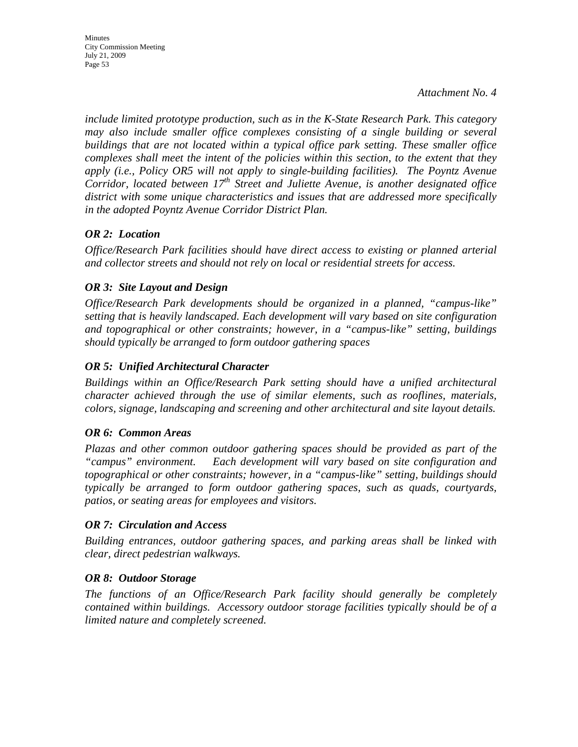*include limited prototype production, such as in the K-State Research Park. This category may also include smaller office complexes consisting of a single building or several buildings that are not located within a typical office park setting. These smaller office complexes shall meet the intent of the policies within this section, to the extent that they apply (i.e., Policy OR5 will not apply to single-building facilities). The Poyntz Avenue Corridor, located between 17th Street and Juliette Avenue, is another designated office district with some unique characteristics and issues that are addressed more specifically in the adopted Poyntz Avenue Corridor District Plan.* 

## *OR 2: Location*

*Office/Research Park facilities should have direct access to existing or planned arterial and collector streets and should not rely on local or residential streets for access.* 

## *OR 3: Site Layout and Design*

*Office/Research Park developments should be organized in a planned, "campus-like" setting that is heavily landscaped. Each development will vary based on site configuration and topographical or other constraints; however, in a "campus-like" setting, buildings should typically be arranged to form outdoor gathering spaces* 

## *OR 5: Unified Architectural Character*

*Buildings within an Office/Research Park setting should have a unified architectural character achieved through the use of similar elements, such as rooflines, materials, colors, signage, landscaping and screening and other architectural and site layout details.* 

## *OR 6: Common Areas*

*Plazas and other common outdoor gathering spaces should be provided as part of the "campus" environment. Each development will vary based on site configuration and topographical or other constraints; however, in a "campus-like" setting, buildings should typically be arranged to form outdoor gathering spaces, such as quads, courtyards, patios, or seating areas for employees and visitors.* 

## *OR 7: Circulation and Access*

*Building entrances, outdoor gathering spaces, and parking areas shall be linked with clear, direct pedestrian walkways.* 

## *OR 8: Outdoor Storage*

*The functions of an Office/Research Park facility should generally be completely contained within buildings. Accessory outdoor storage facilities typically should be of a limited nature and completely screened.*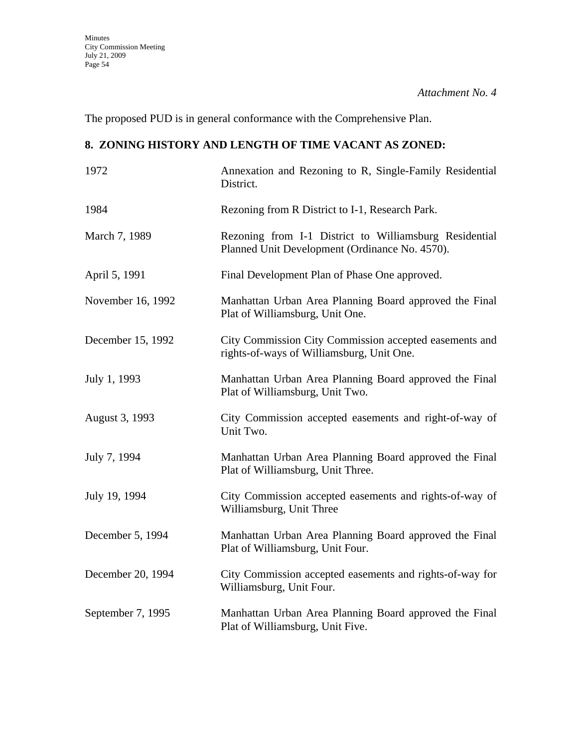The proposed PUD is in general conformance with the Comprehensive Plan.

## **8. ZONING HISTORY AND LENGTH OF TIME VACANT AS ZONED:**

| 1972              | Annexation and Rezoning to R, Single-Family Residential<br>District.                                     |
|-------------------|----------------------------------------------------------------------------------------------------------|
| 1984              | Rezoning from R District to I-1, Research Park.                                                          |
| March 7, 1989     | Rezoning from I-1 District to Williamsburg Residential<br>Planned Unit Development (Ordinance No. 4570). |
| April 5, 1991     | Final Development Plan of Phase One approved.                                                            |
| November 16, 1992 | Manhattan Urban Area Planning Board approved the Final<br>Plat of Williamsburg, Unit One.                |
| December 15, 1992 | City Commission City Commission accepted easements and<br>rights-of-ways of Williamsburg, Unit One.      |
| July 1, 1993      | Manhattan Urban Area Planning Board approved the Final<br>Plat of Williamsburg, Unit Two.                |
| August 3, 1993    | City Commission accepted easements and right-of-way of<br>Unit Two.                                      |
| July 7, 1994      | Manhattan Urban Area Planning Board approved the Final<br>Plat of Williamsburg, Unit Three.              |
| July 19, 1994     | City Commission accepted easements and rights-of-way of<br>Williamsburg, Unit Three                      |
| December 5, 1994  | Manhattan Urban Area Planning Board approved the Final<br>Plat of Williamsburg, Unit Four.               |
| December 20, 1994 | City Commission accepted easements and rights-of-way for<br>Williamsburg, Unit Four.                     |
| September 7, 1995 | Manhattan Urban Area Planning Board approved the Final<br>Plat of Williamsburg, Unit Five.               |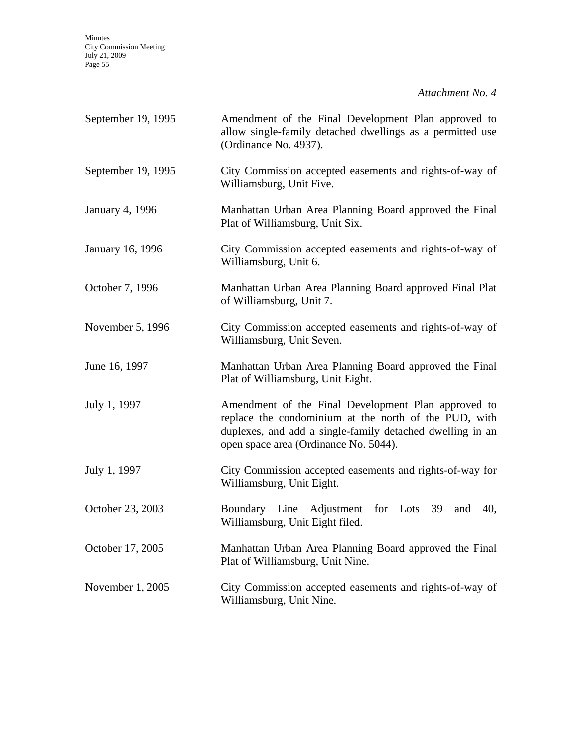Minutes City Commission Meeting July 21, 2009 Page 55

*Attachment No. 4*

| September 19, 1995     | Amendment of the Final Development Plan approved to<br>allow single-family detached dwellings as a permitted use<br>(Ordinance No. 4937).                                                                          |
|------------------------|--------------------------------------------------------------------------------------------------------------------------------------------------------------------------------------------------------------------|
| September 19, 1995     | City Commission accepted easements and rights-of-way of<br>Williamsburg, Unit Five.                                                                                                                                |
| <b>January 4, 1996</b> | Manhattan Urban Area Planning Board approved the Final<br>Plat of Williamsburg, Unit Six.                                                                                                                          |
| January 16, 1996       | City Commission accepted easements and rights-of-way of<br>Williamsburg, Unit 6.                                                                                                                                   |
| October 7, 1996        | Manhattan Urban Area Planning Board approved Final Plat<br>of Williamsburg, Unit 7.                                                                                                                                |
| November 5, 1996       | City Commission accepted easements and rights-of-way of<br>Williamsburg, Unit Seven.                                                                                                                               |
| June 16, 1997          | Manhattan Urban Area Planning Board approved the Final<br>Plat of Williamsburg, Unit Eight.                                                                                                                        |
| July 1, 1997           | Amendment of the Final Development Plan approved to<br>replace the condominium at the north of the PUD, with<br>duplexes, and add a single-family detached dwelling in an<br>open space area (Ordinance No. 5044). |
| July 1, 1997           | City Commission accepted easements and rights-of-way for<br>Williamsburg, Unit Eight.                                                                                                                              |
| October 23, 2003       | Boundary Line Adjustment for Lots 39<br>and<br>40,<br>Williamsburg, Unit Eight filed.                                                                                                                              |
| October 17, 2005       | Manhattan Urban Area Planning Board approved the Final<br>Plat of Williamsburg, Unit Nine.                                                                                                                         |
| November 1, 2005       | City Commission accepted easements and rights-of-way of<br>Williamsburg, Unit Nine.                                                                                                                                |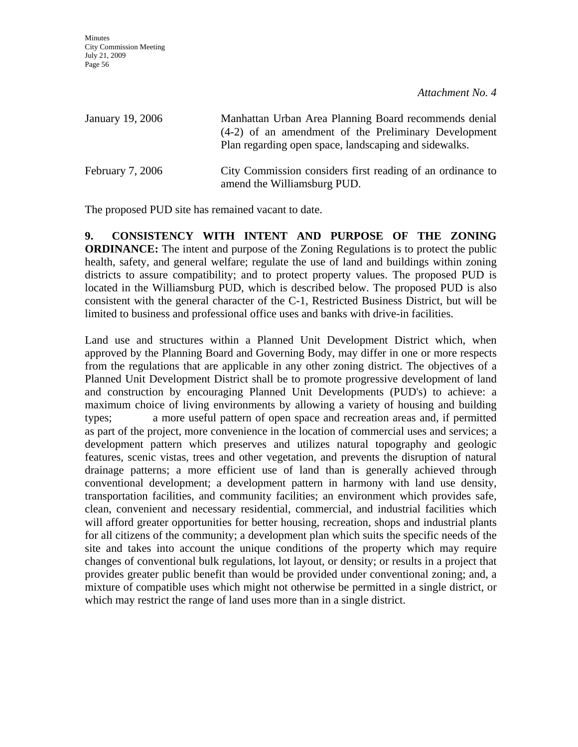| January 19, 2006   | Manhattan Urban Area Planning Board recommends denial<br>(4-2) of an amendment of the Preliminary Development<br>Plan regarding open space, landscaping and sidewalks. |
|--------------------|------------------------------------------------------------------------------------------------------------------------------------------------------------------------|
| February $7, 2006$ | City Commission considers first reading of an ordinance to<br>amend the Williamsburg PUD.                                                                              |

The proposed PUD site has remained vacant to date.

**9. CONSISTENCY WITH INTENT AND PURPOSE OF THE ZONING ORDINANCE:** The intent and purpose of the Zoning Regulations is to protect the public health, safety, and general welfare; regulate the use of land and buildings within zoning districts to assure compatibility; and to protect property values. The proposed PUD is located in the Williamsburg PUD, which is described below. The proposed PUD is also consistent with the general character of the C-1, Restricted Business District, but will be limited to business and professional office uses and banks with drive-in facilities.

Land use and structures within a Planned Unit Development District which, when approved by the Planning Board and Governing Body, may differ in one or more respects from the regulations that are applicable in any other zoning district. The objectives of a Planned Unit Development District shall be to promote progressive development of land and construction by encouraging Planned Unit Developments (PUD's) to achieve: a maximum choice of living environments by allowing a variety of housing and building types; a more useful pattern of open space and recreation areas and, if permitted as part of the project, more convenience in the location of commercial uses and services; a development pattern which preserves and utilizes natural topography and geologic features, scenic vistas, trees and other vegetation, and prevents the disruption of natural drainage patterns; a more efficient use of land than is generally achieved through conventional development; a development pattern in harmony with land use density, transportation facilities, and community facilities; an environment which provides safe, clean, convenient and necessary residential, commercial, and industrial facilities which will afford greater opportunities for better housing, recreation, shops and industrial plants for all citizens of the community; a development plan which suits the specific needs of the site and takes into account the unique conditions of the property which may require changes of conventional bulk regulations, lot layout, or density; or results in a project that provides greater public benefit than would be provided under conventional zoning; and, a mixture of compatible uses which might not otherwise be permitted in a single district, or which may restrict the range of land uses more than in a single district.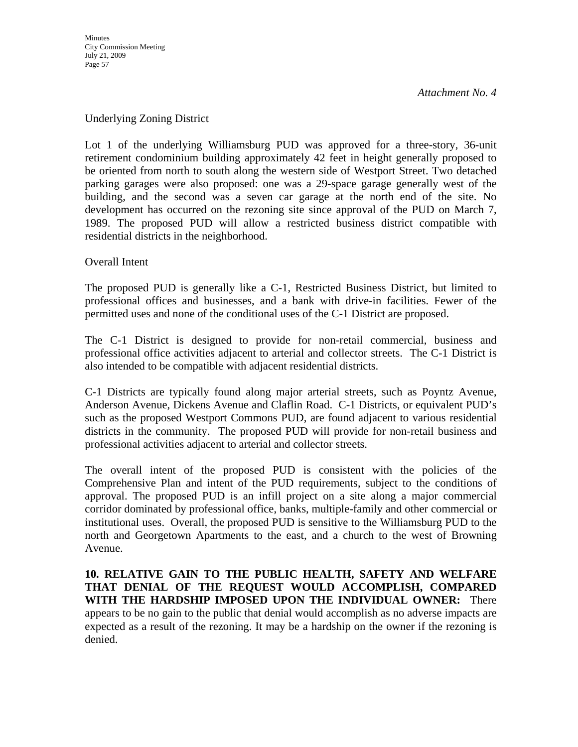#### Underlying Zoning District

Lot 1 of the underlying Williamsburg PUD was approved for a three-story, 36-unit retirement condominium building approximately 42 feet in height generally proposed to be oriented from north to south along the western side of Westport Street. Two detached parking garages were also proposed: one was a 29-space garage generally west of the building, and the second was a seven car garage at the north end of the site. No development has occurred on the rezoning site since approval of the PUD on March 7, 1989. The proposed PUD will allow a restricted business district compatible with residential districts in the neighborhood.

#### Overall Intent

The proposed PUD is generally like a C-1, Restricted Business District, but limited to professional offices and businesses, and a bank with drive-in facilities. Fewer of the permitted uses and none of the conditional uses of the C-1 District are proposed.

The C-1 District is designed to provide for non-retail commercial, business and professional office activities adjacent to arterial and collector streets. The C-1 District is also intended to be compatible with adjacent residential districts.

C-1 Districts are typically found along major arterial streets, such as Poyntz Avenue, Anderson Avenue, Dickens Avenue and Claflin Road. C-1 Districts, or equivalent PUD's such as the proposed Westport Commons PUD, are found adjacent to various residential districts in the community. The proposed PUD will provide for non-retail business and professional activities adjacent to arterial and collector streets.

The overall intent of the proposed PUD is consistent with the policies of the Comprehensive Plan and intent of the PUD requirements, subject to the conditions of approval. The proposed PUD is an infill project on a site along a major commercial corridor dominated by professional office, banks, multiple-family and other commercial or institutional uses. Overall, the proposed PUD is sensitive to the Williamsburg PUD to the north and Georgetown Apartments to the east, and a church to the west of Browning Avenue.

**10. RELATIVE GAIN TO THE PUBLIC HEALTH, SAFETY AND WELFARE THAT DENIAL OF THE REQUEST WOULD ACCOMPLISH, COMPARED WITH THE HARDSHIP IMPOSED UPON THE INDIVIDUAL OWNER:** There appears to be no gain to the public that denial would accomplish as no adverse impacts are expected as a result of the rezoning. It may be a hardship on the owner if the rezoning is denied.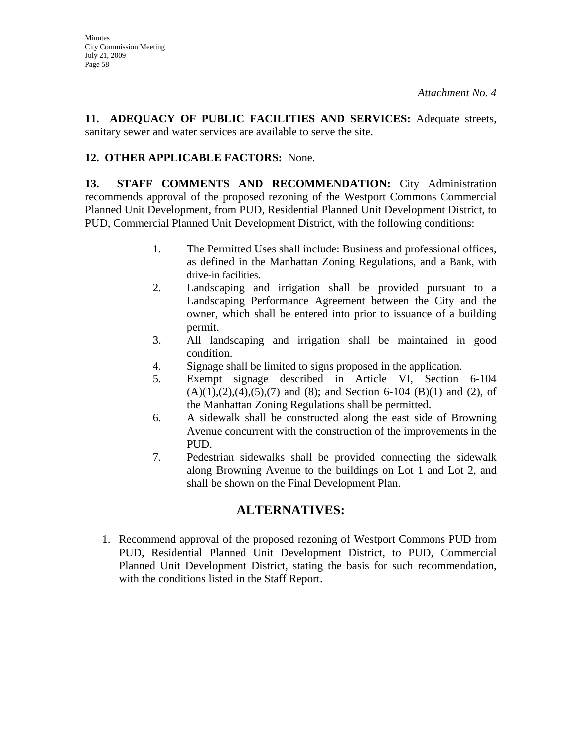**11. ADEQUACY OF PUBLIC FACILITIES AND SERVICES:** Adequate streets, sanitary sewer and water services are available to serve the site.

## **12. OTHER APPLICABLE FACTORS:** None.

**13. STAFF COMMENTS AND RECOMMENDATION:** City Administration recommends approval of the proposed rezoning of the Westport Commons Commercial Planned Unit Development, from PUD, Residential Planned Unit Development District, to PUD, Commercial Planned Unit Development District, with the following conditions:

- 1. The Permitted Uses shall include: Business and professional offices, as defined in the Manhattan Zoning Regulations, and a Bank, with drive-in facilities.
- 2. Landscaping and irrigation shall be provided pursuant to a Landscaping Performance Agreement between the City and the owner, which shall be entered into prior to issuance of a building permit.
- 3. All landscaping and irrigation shall be maintained in good condition.
- 4. Signage shall be limited to signs proposed in the application.
- 5. Exempt signage described in Article VI, Section 6-104  $(A)(1),(2),(4),(5),(7)$  and  $(8)$ ; and Section 6-104  $(B)(1)$  and  $(2)$ , of the Manhattan Zoning Regulations shall be permitted.
- 6. A sidewalk shall be constructed along the east side of Browning Avenue concurrent with the construction of the improvements in the PUD.
- 7. Pedestrian sidewalks shall be provided connecting the sidewalk along Browning Avenue to the buildings on Lot 1 and Lot 2, and shall be shown on the Final Development Plan.

## **ALTERNATIVES:**

1. Recommend approval of the proposed rezoning of Westport Commons PUD from PUD, Residential Planned Unit Development District, to PUD, Commercial Planned Unit Development District, stating the basis for such recommendation, with the conditions listed in the Staff Report.